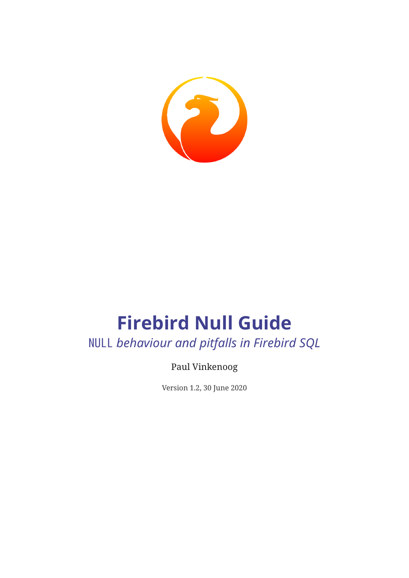

# **Firebird Null Guide** NULL *behaviour and pitfalls in Firebird SQL*

Paul Vinkenoog

Version 1.2, 30 June 2020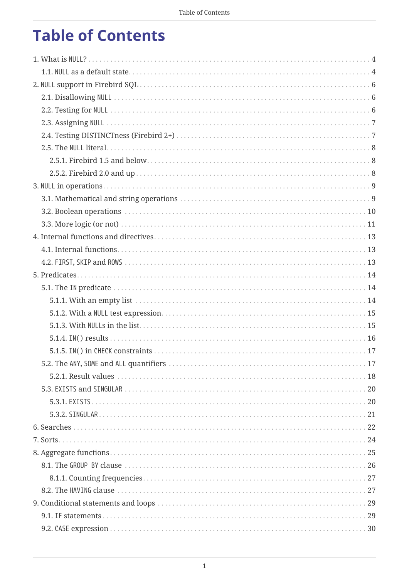# **Table of Contents**

<span id="page-1-2"></span><span id="page-1-1"></span><span id="page-1-0"></span>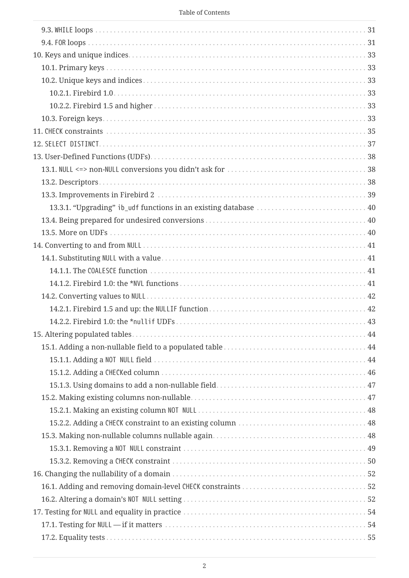|  |  | Table of Contents |
|--|--|-------------------|
|--|--|-------------------|

| 13.3.1. "Upgrading" ib_udf functions in an existing database  40 |  |
|------------------------------------------------------------------|--|
|                                                                  |  |
|                                                                  |  |
|                                                                  |  |
|                                                                  |  |
|                                                                  |  |
|                                                                  |  |
|                                                                  |  |
|                                                                  |  |
|                                                                  |  |
|                                                                  |  |
|                                                                  |  |
|                                                                  |  |
|                                                                  |  |
|                                                                  |  |
|                                                                  |  |
|                                                                  |  |
|                                                                  |  |
|                                                                  |  |
|                                                                  |  |
|                                                                  |  |
|                                                                  |  |
|                                                                  |  |
|                                                                  |  |
|                                                                  |  |
|                                                                  |  |
|                                                                  |  |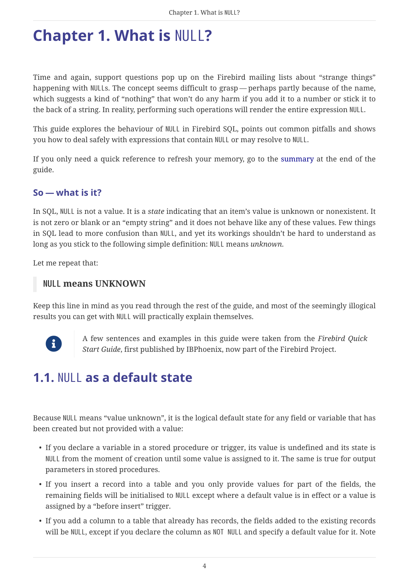# <span id="page-4-0"></span>**Chapter 1. What is** NULL**?**

<span id="page-4-2"></span>Time and again, support questions pop up on the Firebird mailing lists about "strange things" happening with NULLs. The concept seems difficult to grasp — perhaps partly because of the name, which suggests a kind of "nothing" that won't do any harm if you add it to a number or stick it to the back of a string. In reality, performing such operations will render the entire expression NULL.

This guide explores the behaviour of NULL in Firebird SQL, points out common pitfalls and shows you how to deal safely with expressions that contain NULL or may resolve to NULL.

If you only need a quick reference to refresh your memory, go to the [summary](#page-58-0) at the end of the guide.

#### **So — what is it?**

In SQL, NULL is not a value. It is a *state* indicating that an item's value is unknown or nonexistent. It is not zero or blank or an "empty string" and it does not behave like any of these values. Few things in SQL lead to more confusion than NULL, and yet its workings shouldn't be hard to understand as long as you stick to the following simple definition: NULL means *unknown*.

Let me repeat that:

#### **NULL means UNKNOWN**

Keep this line in mind as you read through the rest of the guide, and most of the seemingly illogical results you can get with NULL will practically explain themselves.



A few sentences and examples in this guide were taken from the *Firebird Quick Start Guide*, first published by IBPhoenix, now part of the Firebird Project.

## <span id="page-4-1"></span>**1.1.** NULL **as a default state**

<span id="page-4-3"></span>Because NULL means "value unknown", it is the logical default state for any field or variable that has been created but not provided with a value:

- If you declare a variable in a stored procedure or trigger, its value is undefined and its state is NULL from the moment of creation until some value is assigned to it. The same is true for output parameters in stored procedures.
- If you insert a record into a table and you only provide values for part of the fields, the remaining fields will be initialised to NULL except where a default value is in effect or a value is assigned by a "before insert" trigger.
- If you add a column to a table that already has records, the fields added to the existing records will be NULL, except if you declare the column as NOT NULL and specify a default value for it. Note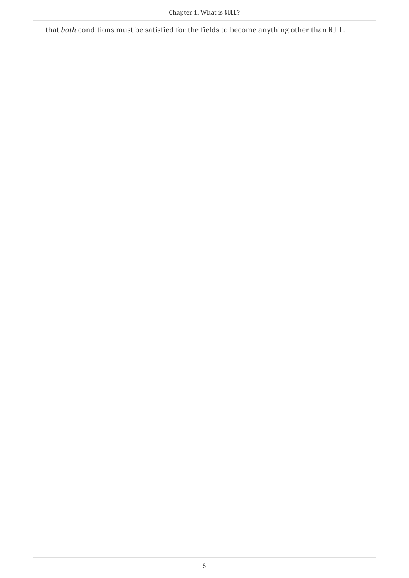that *both* conditions must be satisfied for the fields to become anything other than NULL.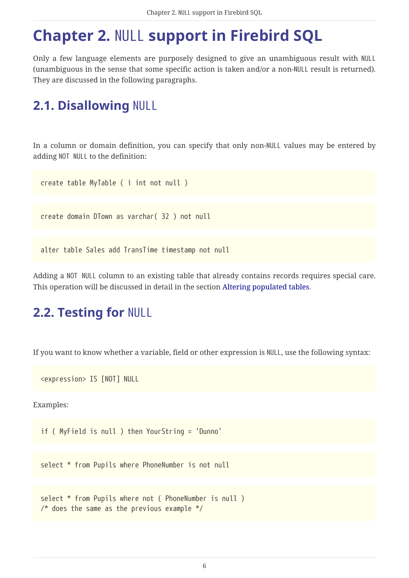# <span id="page-6-0"></span>**Chapter 2.** NULL **support in Firebird SQL**

Only a few language elements are purposely designed to give an unambiguous result with NULL (unambiguous in the sense that some specific action is taken and/or a non-NULL result is returned). They are discussed in the following paragraphs.

## <span id="page-6-1"></span>**2.1. Disallowing** NULL

<span id="page-6-4"></span>In a column or domain definition, you can specify that only non-NULL values may be entered by adding NOT NULL to the definition:

create table MyTable ( i int not null )

create domain DTown as varchar( 32 ) not null

alter table Sales add TransTime timestamp not null

Adding a NOT NULL column to an existing table that already contains records requires special care. This operation will be discussed in detail in the section [Altering populated tables](#page-44-0).

## <span id="page-6-2"></span>**2.2. Testing for** NULL

<span id="page-6-3"></span>If you want to know whether a variable, field or other expression is NULL, use the following syntax:

<expression> IS [NOT] NULL

Examples:

```
if ( MyField is null ) then YourString = 'Dunno'
```
select \* from Pupils where PhoneNumber is not null

```
select * from Pupils where not ( PhoneNumber is null )
/* does the same as the previous example */
```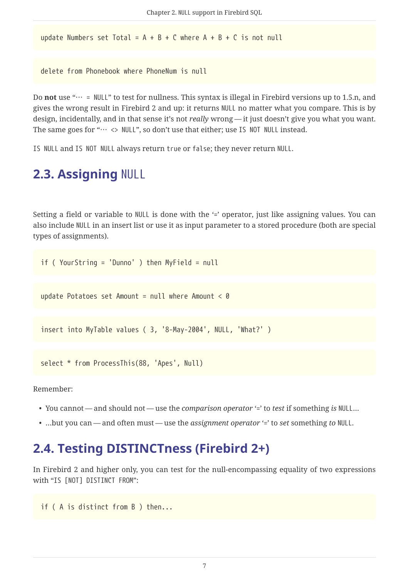update Numbers set Total =  $A + B + C$  where  $A + B + C$  is not null

delete from Phonebook where PhoneNum is null

Do **not** use "… = NULL" to test for nullness. This syntax is illegal in Firebird versions up to 1.5.n, and gives the wrong result in Firebird 2 and up: it returns NULL no matter what you compare. This is by design, incidentally, and in that sense it's not *really* wrong — it just doesn't give you what you want. The same goes for " $\cdots$   $\leftrightarrow$  NULL", so don't use that either; use IS NOT NULL instead.

IS NULL and IS NOT NULL always return true or false; they never return NULL.

### <span id="page-7-0"></span>**2.3. Assigning** NULL

<span id="page-7-2"></span>Setting a field or variable to NULL is done with the '=' operator, just like assigning values. You can also include NULL in an insert list or use it as input parameter to a stored procedure (both are special types of assignments).

if ( YourString = 'Dunno' ) then MyField = null

update Potatoes set Amount = null where Amount <  $0$ 

insert into MyTable values ( 3, '8-May-2004', NULL, 'What?' )

```
select * from ProcessThis(88, 'Apes', Null)
```
Remember:

- You cannot and should not use the *comparison operator* '=' to *test* if something *is* NULL…
- <span id="page-7-3"></span>• …but you can — and often must — use the *assignment operator* '=' to *set* something *to* NULL.

### <span id="page-7-1"></span>**2.4. Testing DISTINCTness (Firebird 2+)**

In Firebird 2 and higher only, you can test for the null-encompassing equality of two expressions with "IS [NOT] DISTINCT FROM":

if ( A is distinct from B ) then...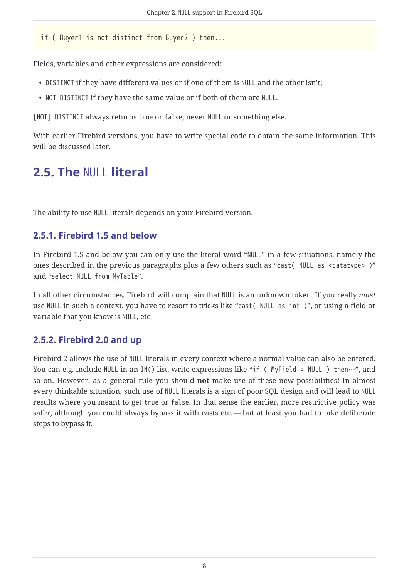if ( Buyer1 is not distinct from Buyer2 ) then...

Fields, variables and other expressions are considered:

- DISTINCT if they have different values or if one of them is NULL and the other isn't;
- NOT DISTINCT if they have the same value or if both of them are NULL.

[NOT] DISTINCT always returns true or false, never NULL or something else.

With earlier Firebird versions, you have to write special code to obtain the same information. This will be discussed later.

## <span id="page-8-0"></span>**2.5. The** NULL **literal**

<span id="page-8-3"></span>The ability to use NULL literals depends on your Firebird version.

#### <span id="page-8-1"></span>**2.5.1. Firebird 1.5 and below**

In Firebird 1.5 and below you can only use the literal word "NULL" in a few situations, namely the ones described in the previous paragraphs plus a few others such as "cast( NULL as <datatype> )" and "select NULL from MyTable".

In all other circumstances, Firebird will complain that NULL is an unknown token. If you really *must* use NULL in such a context, you have to resort to tricks like "cast( NULL as int )", or using a field or variable that you know is NULL, etc.

#### <span id="page-8-2"></span>**2.5.2. Firebird 2.0 and up**

Firebird 2 allows the use of NULL literals in every context where a normal value can also be entered. You can e.g. include NULL in an IN() list, write expressions like "if ( MyField = NULL ) then…", and so on. However, as a general rule you should **not** make use of these new possibilities! In almost every thinkable situation, such use of NULL literals is a sign of poor SQL design and will lead to NULL results where you meant to get true or false. In that sense the earlier, more restrictive policy was safer, although you could always bypass it with casts etc. — but at least you had to take deliberate steps to bypass it.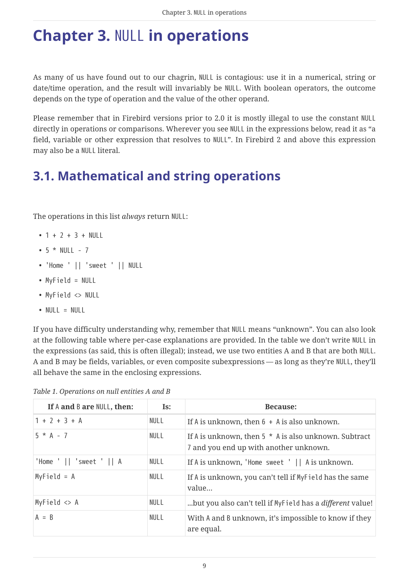# <span id="page-9-0"></span>**Chapter 3.** NULL **in operations**

<span id="page-9-3"></span>As many of us have found out to our chagrin, NULL is contagious: use it in a numerical, string or date/time operation, and the result will invariably be NULL. With boolean operators, the outcome depends on the type of operation and the value of the other operand.

Please remember that in Firebird versions prior to 2.0 it is mostly illegal to use the constant NULL directly in operations or comparisons. Wherever you see NULL in the expressions below, read it as "a field, variable or other expression that resolves to NULL". In Firebird 2 and above this expression may also be a NULL literal.

## <span id="page-9-1"></span>**3.1. Mathematical and string operations**

<span id="page-9-2"></span>The operations in this list *always* return NULL:

- $1 + 2 + 3 + NULL$
- $5 * NULL 7$
- 'Home ' || 'sweet ' || NULL
- MyField = NULL
- MyField <> NULL
- NULL = NULL

If you have difficulty understanding why, remember that NULL means "unknown". You can also look at the following table where per-case explanations are provided. In the table we don't write NULL in the expressions (as said, this is often illegal); instead, we use two entities A and B that are both NULL. A and B may be fields, variables, or even composite subexpressions — as long as they're NULL, they'll all behave the same in the enclosing expressions.

| If A and B are NULL, then:   | Is:         | <b>Because:</b>                                                                                   |
|------------------------------|-------------|---------------------------------------------------------------------------------------------------|
| $1 + 2 + 3 + A$              | <b>NULL</b> | If A is unknown, then $6 + A$ is also unknown.                                                    |
| $5 * A - 7$                  | NULL        | If A is unknown, then $5 * A$ is also unknown. Subtract<br>7 and you end up with another unknown. |
| 'Home ' $  $ 'sweet ' $  $ A | NULL        | If A is unknown, 'Home sweet $\vert \vert$   A is unknown.                                        |
| $MyField = A$                | NULL        | If A is unknown, you can't tell if MyField has the same<br>value                                  |
| MyField $\langle$ A          | <b>NULL</b> | but you also can't tell if MyField has a <i>different</i> value!                                  |
| $A = B$                      | NULL        | With A and B unknown, it's impossible to know if they<br>are equal.                               |

*Table 1. Operations on null entities A and B*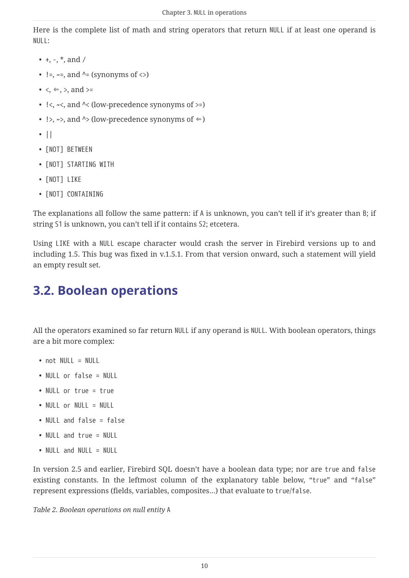<span id="page-10-2"></span>Here is the complete list of math and string operators that return NULL if at least one operand is NULL:

- $+$ ,  $-$ ,  $*$ , and /
- $!=, \sim=$ , and  $\wedge=$  (synonyms of  $\langle > \rangle$
- $\bullet \leq \leq, \leq,$  and  $\geq$
- $\langle \langle \cdot, \cdot \rangle \rangle$  and  $\langle \langle \cdot \rangle$  (low-precedence synonyms of  $\rangle$ =)
- !>,  $\sim$ >, and  $\sim$  (low-precedence synonyms of  $\Leftarrow$ )
- ||
- [NOT] BETWEEN
- [NOT] STARTING WITH
- [NOT] LIKE
- [NOT] CONTAINING

The explanations all follow the same pattern: if A is unknown, you can't tell if it's greater than B; if string S1 is unknown, you can't tell if it contains S2; etcetera.

Using LIKE with a NULL escape character would crash the server in Firebird versions up to and including 1.5. This bug was fixed in v.1.5.1. From that version onward, such a statement will yield an empty result set.

## <span id="page-10-0"></span>**3.2. Boolean operations**

<span id="page-10-1"></span>All the operators examined so far return NULL if any operand is NULL. With boolean operators, things are a bit more complex:

- not NULL = NULL
- NULL or false = NULL
- NULL or true = true
- NULL or NULL = NULL
- NULL and false = false
- NULL and true = NULL
- NULL and NULL = NULL

In version 2.5 and earlier, Firebird SQL doesn't have a boolean data type; nor are true and false existing constants. In the leftmost column of the explanatory table below, "true" and "false" represent expressions (fields, variables, composites…) that evaluate to true/false.

*Table 2. Boolean operations on null entity* A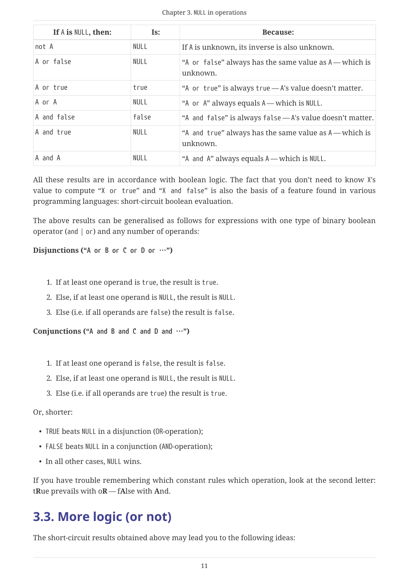| If A is NULL, then: | Is:         | <b>Because:</b>                                                    |
|---------------------|-------------|--------------------------------------------------------------------|
| not A               | <b>NULL</b> | If A is unknown, its inverse is also unknown.                      |
| A or false          | NULL        | "A or false" always has the same value as A — which is<br>unknown. |
| A or true           | true        | "A or true" is always true - A's value doesn't matter.             |
| A or A              | NULL        | "A or A" always equals A — which is NULL.                          |
| A and false         | false       | "A and false" is always false - A's value doesn't matter.          |
| A and true          | <b>NULL</b> | "A and true" always has the same value as A — which is<br>unknown. |
| A and A             | <b>NULL</b> | "A and A" always equals A — which is NULL.                         |

All these results are in accordance with boolean logic. The fact that you don't need to know X's value to compute "X or true" and "X and false" is also the basis of a feature found in various programming languages: short-circuit boolean evaluation.

The above results can be generalised as follows for expressions with one type of binary boolean operator (and | or) and any number of operands:

<span id="page-11-2"></span>**Disjunctions ("A or B or C or D or …")**

- 1. If at least one operand is true, the result is true.
- 2. Else, if at least one operand is NULL, the result is NULL.
- 3. Else (i.e. if all operands are false) the result is false.

<span id="page-11-1"></span>**Conjunctions ("A and B and C and D and …")**

- 1. If at least one operand is false, the result is false.
- 2. Else, if at least one operand is NULL, the result is NULL.
- 3. Else (i.e. if all operands are true) the result is true.

#### <span id="page-11-3"></span>Or, shorter:

- TRUE beats NULL in a disjunction (OR-operation);
- FALSE beats NULL in a conjunction (AND-operation);
- In all other cases, NULL wins.

If you have trouble remembering which constant rules which operation, look at the second letter: t**R**ue prevails with o**R** — f**A**lse with **A**nd.

### <span id="page-11-0"></span>**3.3. More logic (or not)**

The short-circuit results obtained above may lead you to the following ideas: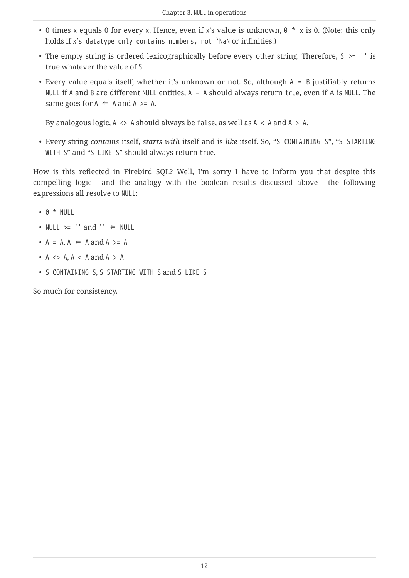- 0 times x equals 0 for every x. Hence, even if x's value is unknown,  $\theta * x$  is 0. (Note: this only holds if x's datatype only contains numbers, not `NaN or infinities.)
- The empty string is ordered lexicographically before every other string. Therefore,  $S \ge -1$  is true whatever the value of S.
- Every value equals itself, whether it's unknown or not. So, although A = B justifiably returns NULL if A and B are different NULL entities,  $A = A$  should always return true, even if A is NULL. The same goes for  $A \leftarrow A$  and  $A \rightleftharpoons A$ .

By analogous logic,  $A \leq A$  should always be false, as well as  $A \leq A$  and  $A \geq A$ .

• Every string *contains* itself, *starts with* itself and is *like* itself. So, "S CONTAINING S", "S STARTING WITH S" and "S LIKE S" should always return true.

How is this reflected in Firebird SQL? Well, I'm sorry I have to inform you that despite this compelling logic — and the analogy with the boolean results discussed above — the following expressions all resolve to NULL:

- 0 \* NULL
- NULL  $>=$  '' and ''  $\Leftarrow$  NULL
- $A = A$ ,  $A \Leftarrow A$  and  $A \gt A$
- $A \leq A, A \leq A$  and  $A > A$
- S CONTAINING S, S STARTING WITH S and S LIKE S

So much for consistency.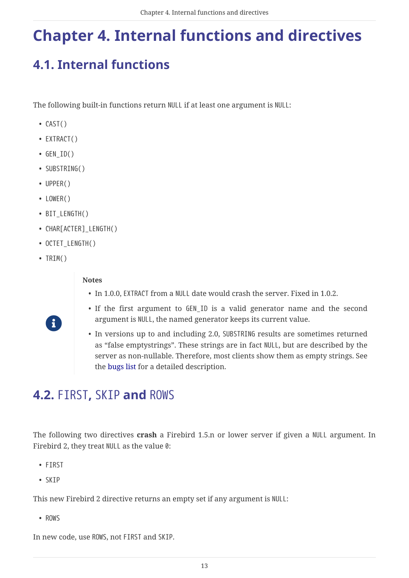# <span id="page-13-0"></span>**Chapter 4. Internal functions and directives**

# <span id="page-13-1"></span>**4.1. Internal functions**

<span id="page-13-4"></span>The following built-in functions return NULL if at least one argument is NULL:

- CAST()
- EXTRACT()
- $\bullet$  GEN\_ID()
- SUBSTRING()
- UPPER()
- LOWER()
- BIT LENGTH()
- CHAR[ACTER] LENGTH()
- OCTET LENGTH()
- TRIM()

R

#### **Notes**

- In 1.0.0, EXTRACT from a NULL date would crash the server. Fixed in 1.0.2.
- If the first argument to GEN\_ID is a valid generator name and the second argument is NULL, the named generator keeps its current value.
- In versions up to and including 2.0, SUBSTRING results are sometimes returned as "false emptystrings". These strings are in fact NULL, but are described by the server as non-nullable. Therefore, most clients show them as empty strings. See the [bugs list](#page-61-1) for a detailed description.

## <span id="page-13-2"></span>**4.2.** FIRST**,** SKIP **and** ROWS

<span id="page-13-3"></span>The following two directives **crash** a Firebird 1.5.n or lower server if given a NULL argument. In Firebird 2, they treat NULL as the value 0:

- FIRST
- SKIP

This new Firebird 2 directive returns an empty set if any argument is NULL:

• ROWS

In new code, use ROWS, not FIRST and SKIP.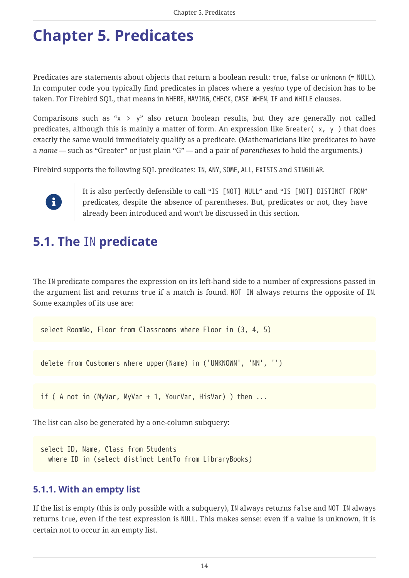# <span id="page-14-0"></span>**Chapter 5. Predicates**

<span id="page-14-4"></span>Predicates are statements about objects that return a boolean result: true, false or unknown (= NULL). In computer code you typically find predicates in places where a yes/no type of decision has to be taken. For Firebird SQL, that means in WHERE, HAVING, CHECK, CASE WHEN, IF and WHILE clauses.

Comparisons such as " $x > y$ " also return boolean results, but they are generally not called predicates, although this is mainly a matter of form. An expression like Greater( x, y ) that does exactly the same would immediately qualify as a predicate. (Mathematicians like predicates to have a *name* — such as "Greater" or just plain "G" — and a pair of *parentheses* to hold the arguments.)

Firebird supports the following SQL predicates: IN, ANY, SOME, ALL, EXISTS and SINGULAR.



It is also perfectly defensible to call "IS [NOT] NULL" and "IS [NOT] DISTINCT FROM" predicates, despite the absence of parentheses. But, predicates or not, they have already been introduced and won't be discussed in this section.

## <span id="page-14-1"></span>**5.1. The** IN **predicate**

<span id="page-14-3"></span>The IN predicate compares the expression on its left-hand side to a number of expressions passed in the argument list and returns true if a match is found. NOT IN always returns the opposite of IN. Some examples of its use are:

select RoomNo, Floor from Classrooms where Floor in (3, 4, 5)

delete from Customers where upper(Name) in ('UNKNOWN', 'NN', '')

if ( A not in (MyVar, MyVar + 1, YourVar, HisVar) ) then ...

The list can also be generated by a one-column subquery:

select ID, Name, Class from Students where ID in (select distinct LentTo from LibraryBooks)

#### <span id="page-14-2"></span>**5.1.1. With an empty list**

If the list is empty (this is only possible with a subquery), IN always returns false and NOT IN always returns true, even if the test expression is NULL. This makes sense: even if a value is unknown, it is certain not to occur in an empty list.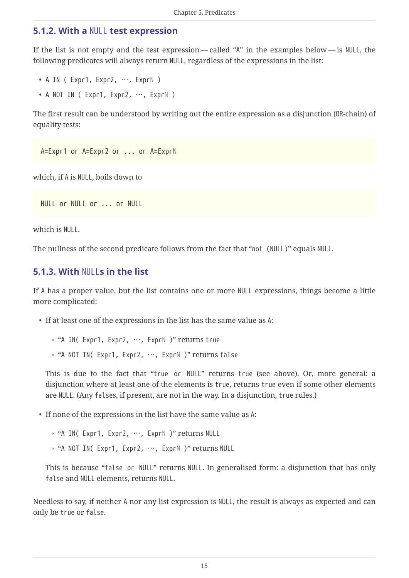#### <span id="page-15-0"></span>**5.1.2. With a** NULL **test expression**

If the list is not empty and the test expression — called "A" in the examples below — is NULL, the following predicates will always return NULL, regardless of the expressions in the list:

- A IN ( Expr1, Expr2, …, Expr*N* )
- A NOT IN ( Expr1, Expr2, …, Expr*N* )

The first result can be understood by writing out the entire expression as a disjunction (OR-chain) of equality tests:

A=Expr1 or A=Expr2 or ... or A=Expr*N*

which, if A is NULL, boils down to

NULL or NULL or ... or NULL

which is NULL.

The nullness of the second predicate follows from the fact that "not (NULL)" equals NULL.

#### <span id="page-15-1"></span>**5.1.3. With** NULL**s in the list**

If A has a proper value, but the list contains one or more NULL expressions, things become a little more complicated:

- If at least one of the expressions in the list has the same value as A:
	- "A IN( Expr1, Expr2, …, Expr*N* )" returns true
	- "A NOT IN( Expr1, Expr2, …, Expr*N* )" returns false

This is due to the fact that "true or NULL" returns true (see above). Or, more general: a disjunction where at least one of the elements is true, returns true even if some other elements are NULL. (Any falses, if present, are not in the way. In a disjunction, true rules.)

• If none of the expressions in the list have the same value as A:

◦ "A IN( Expr1, Expr2, …, Expr*N* )" returns NULL

◦ "A NOT IN( Expr1, Expr2, …, Expr*N* )" returns NULL

This is because "false or NULL" returns NULL. In generalised form: a disjunction that has only false and NULL elements, returns NULL.

Needless to say, if neither A nor any list expression is NULL, the result is always as expected and can only be true or false.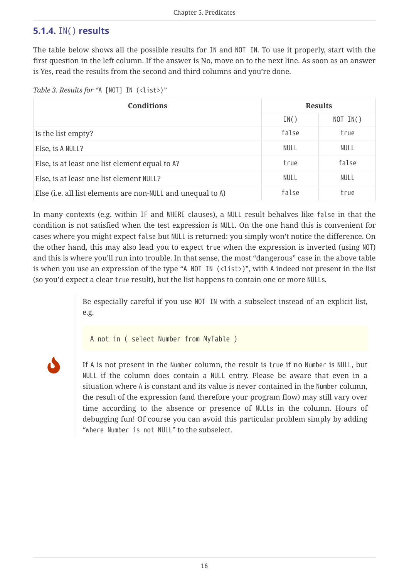#### <span id="page-16-2"></span><span id="page-16-0"></span>**5.1.4.** IN() **results**

The table below shows all the possible results for IN and NOT IN. To use it properly, start with the first question in the left column. If the answer is No, move on to the next line. As soon as an answer is Yes, read the results from the second and third columns and you're done.

*Table 3. Results for "*A [NOT] IN (<list>)*"*

| <b>Conditions</b>                                           | <b>Results</b> |             |  |
|-------------------------------------------------------------|----------------|-------------|--|
|                                                             | IN()           | NOT IN()    |  |
| Is the list empty?                                          | false          | true        |  |
| Else, is A NULL?                                            | NULL           | <b>NULL</b> |  |
| Else, is at least one list element equal to A?              | true           | false       |  |
| Else, is at least one list element NULL?                    | NULL           | <b>NULL</b> |  |
| Else (i.e. all list elements are non-NULL and unequal to A) | false          | true        |  |

In many contexts (e.g. within IF and WHERE clauses), a NULL result behalves like false in that the condition is not satisfied when the test expression is NULL. On the one hand this is convenient for cases where you might expect false but NULL is returned: you simply won't notice the difference. On the other hand, this may also lead you to expect true when the expression is inverted (using NOT) and this is where you'll run into trouble. In that sense, the most "dangerous" case in the above table is when you use an expression of the type "A NOT IN (<list>)", with A indeed not present in the list (so you'd expect a clear true result), but the list happens to contain one or more NULLs.

> Be especially careful if you use NOT IN with a subselect instead of an explicit list, e.g.

A not in ( select Number from MyTable )

<span id="page-16-1"></span>

If A is not present in the Number column, the result is true if no Number is NULL, but NULL if the column does contain a NULL entry. Please be aware that even in a situation where A is constant and its value is never contained in the Number column, the result of the expression (and therefore your program flow) may still vary over time according to the absence or presence of NULLs in the column. Hours of debugging fun! Of course you can avoid this particular problem simply by adding "where Number is not NULL" to the subselect.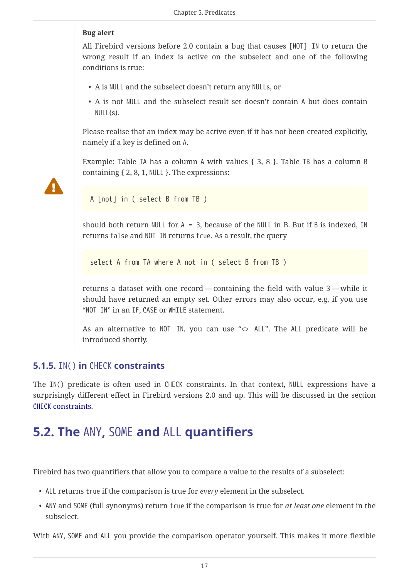#### **Bug alert**

All Firebird versions before 2.0 contain a bug that causes [NOT] IN to return the wrong result if an index is active on the subselect and one of the following conditions is true:

- A is NULL and the subselect doesn't return any NULLs, or
- A is not NULL and the subselect result set doesn't contain A but does contain  $NULL(s)$ .

Please realise that an index may be active even if it has not been created explicitly, namely if a key is defined on A.

Example: Table TA has a column A with values { 3, 8 }. Table TB has a column B containing { 2, 8, 1, NULL }. The expressions:



A [not] in ( select B from TB )

should both return NULL for  $A = 3$ , because of the NULL in B. But if B is indexed, IN returns false and NOT IN returns true. As a result, the query

select A from TA where A not in ( select B from TB )

returns a dataset with one record — containing the field with value 3 — while it should have returned an empty set. Other errors may also occur, e.g. if you use "NOT IN" in an IF, CASE or WHILE statement.

<span id="page-17-3"></span>As an alternative to NOT IN, you can use "<> ALL". The ALL predicate will be introduced shortly.

#### <span id="page-17-0"></span>**5.1.5.** IN() **in** CHECK **constraints**

The IN() predicate is often used in CHECK constraints. In that context, NULL expressions have a surprisingly different effect in Firebird versions 2.0 and up. This will be discussed in the section [CHECK](#page-35-0) [constraints.](#page-35-0)

## <span id="page-17-1"></span>**5.2. The** ANY**,** SOME **and** ALL **quantifiers**

<span id="page-17-2"></span>Firebird has two quantifiers that allow you to compare a value to the results of a subselect:

- ALL returns true if the comparison is true for *every* element in the subselect.
- ANY and SOME (full synonyms) return true if the comparison is true for *at least one* element in the subselect.

With ANY, SOME and ALL you provide the comparison operator yourself. This makes it more flexible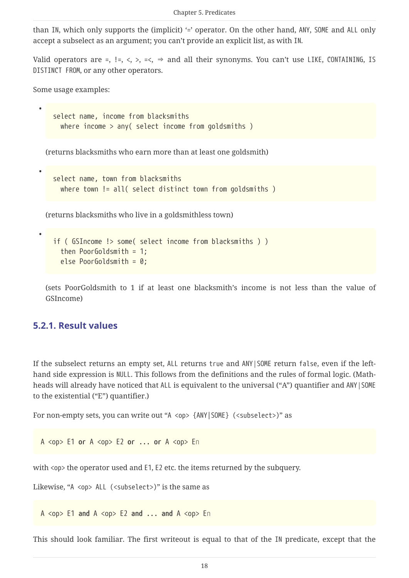than IN, which only supports the (implicit) '=' operator. On the other hand, ANY, SOME and ALL only accept a subselect as an argument; you can't provide an explicit list, as with IN.

Valid operators are =, !=, <, >, =<,  $\Rightarrow$  and all their synonyms. You can't use LIKE, CONTAINING, IS DISTINCT FROM, or any other operators.

Some usage examples:

•

•

•

select name, income from blacksmiths where income > any( select income from goldsmiths )

(returns blacksmiths who earn more than at least one goldsmith)

```
select name, town from blacksmiths
 where town != all( select distinct town from goldsmiths )
```
(returns blacksmiths who live in a goldsmithless town)

```
if ( GSIncome !> some( select income from blacksmiths ) )
   then PoorGoldsmith = 1;
   else PoorGoldsmith = 0;
```
(sets PoorGoldsmith to 1 if at least one blacksmith's income is not less than the value of GSIncome)

#### <span id="page-18-1"></span><span id="page-18-0"></span>**5.2.1. Result values**

If the subselect returns an empty set, ALL returns true and ANY|SOME return false, even if the lefthand side expression is NULL. This follows from the definitions and the rules of formal logic. (Mathheads will already have noticed that ALL is equivalent to the universal ("A") quantifier and ANY SOME to the existential ("E") quantifier.)

For non-empty sets, you can write out "A <op> {ANY|SOME} (<subselect>)" as

A <op> E1 **or** A <op> E2 **or** ... **or** A <op> E*n*

with <op> the operator used and E1, E2 etc. the items returned by the subquery.

Likewise, "A <op> ALL (<subselect>)" is the same as

A <op> E1 **and** A <op> E2 **and** ... **and** A <op> E*n*

This should look familiar. The first writeout is equal to that of the IN predicate, except that the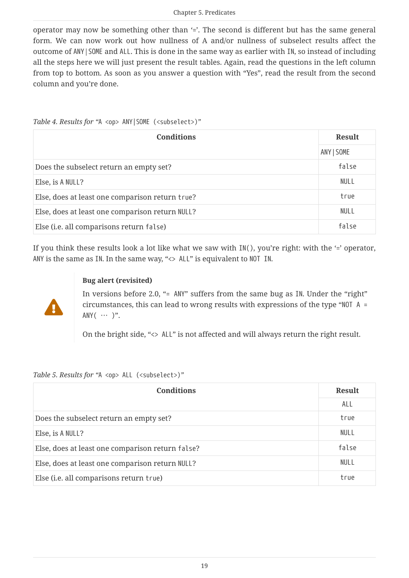operator may now be something other than '='. The second is different but has the same general form. We can now work out how nullness of A and/or nullness of subselect results affect the outcome of ANY|SOME and ALL. This is done in the same way as earlier with IN, so instead of including all the steps here we will just present the result tables. Again, read the questions in the left column from top to bottom. As soon as you answer a question with "Yes", read the result from the second column and you're done.

<span id="page-19-3"></span>

| Table 4. Results for "A <op> ANY   SOME (<subselect>)"</subselect></op> |               |  |
|-------------------------------------------------------------------------|---------------|--|
| <b>Conditions</b>                                                       | <b>Result</b> |  |
|                                                                         | ANY   SOME    |  |
| Does the subselect return an empty set?                                 | false         |  |
| Else, is A NULL?                                                        | <b>NULL</b>   |  |
| Else, does at least one comparison return true?                         | true          |  |
| Else, does at least one comparison return NULL?                         | <b>NULL</b>   |  |
| Else (i.e. all comparisons return false)                                | false         |  |

<span id="page-19-0"></span>If you think these results look a lot like what we saw with  $IN($ ), you're right: with the '=' operator, ANY is the same as IN. In the same way, "<> ALL" is equivalent to NOT IN.

# Д

#### **Bug alert (revisited)**

In versions before 2.0, "= ANY" suffers from the same bug as IN. Under the "right" circumstances, this can lead to wrong results with expressions of the type "NOT A = ANY $(\cdots)^{n}$ .

On the bright side, "<> ALL" is not affected and will always return the right result.

<span id="page-19-2"></span>*Table 5. Results for "*A <op> ALL (<subselect>)*"*

<span id="page-19-1"></span>

| <b>Conditions</b>                                | <b>Result</b> |
|--------------------------------------------------|---------------|
|                                                  | ALL           |
| Does the subselect return an empty set?          | true          |
| Else, is A NULL?                                 | NULL          |
| Else, does at least one comparison return false? | false         |
| Else, does at least one comparison return NULL?  | NULL          |
| Else (i.e. all comparisons return true)          | true          |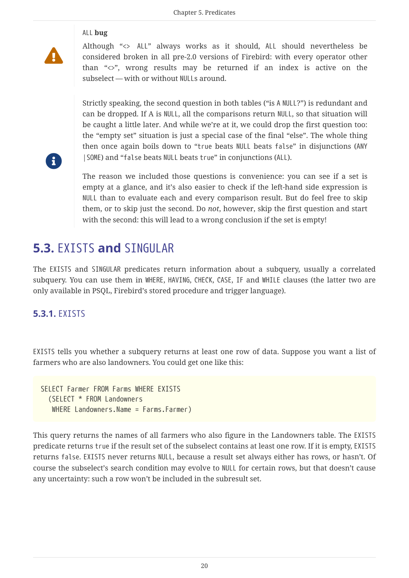#### ALL **bug**

 $\blacktriangle$ 

 $\mathbf i$ 

Although "<> ALL" always works as it should, ALL should nevertheless be considered broken in all pre-2.0 versions of Firebird: with every operator other than "<>", wrong results may be returned if an index is active on the subselect — with or without NULLs around.

Strictly speaking, the second question in both tables ("is A NULL?") is redundant and can be dropped. If A is NULL, all the comparisons return NULL, so that situation will be caught a little later. And while we're at it, we could drop the first question too: the "empty set" situation is just a special case of the final "else". The whole thing then once again boils down to "true beats NULL beats false" in disjunctions (ANY |SOME) and "false beats NULL beats true" in conjunctions (ALL).

The reason we included those questions is convenience: you can see if a set is empty at a glance, and it's also easier to check if the left-hand side expression is NULL than to evaluate each and every comparison result. But do feel free to skip them, or to skip just the second. Do *not*, however, skip the first question and start with the second: this will lead to a wrong conclusion if the set is empty!

### <span id="page-20-0"></span>**5.3.** EXISTS **and** SINGULAR

The EXISTS and SINGULAR predicates return information about a subquery, usually a correlated subquery. You can use them in WHERE, HAVING, CHECK, CASE, IF and WHILE clauses (the latter two are only available in PSQL, Firebird's stored procedure and trigger language).

#### <span id="page-20-2"></span><span id="page-20-1"></span>**5.3.1.** EXISTS

EXISTS tells you whether a subquery returns at least one row of data. Suppose you want a list of farmers who are also landowners. You could get one like this:

SELECT Farmer FROM Farms WHERE EXISTS (SELECT \* FROM Landowners WHERE Landowners.Name = Farms.Farmer)

This query returns the names of all farmers who also figure in the Landowners table. The EXISTS predicate returns true if the result set of the subselect contains at least one row. If it is empty, EXISTS returns false. EXISTS never returns NULL, because a result set always either has rows, or hasn't. Of course the subselect's search condition may evolve to NULL for certain rows, but that doesn't cause any uncertainty: such a row won't be included in the subresult set.

20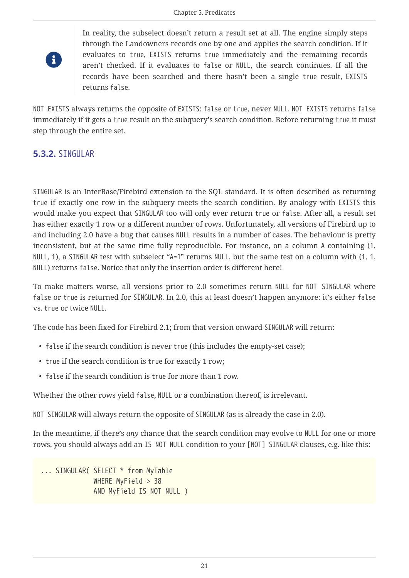# 8

In reality, the subselect doesn't return a result set at all. The engine simply steps through the Landowners records one by one and applies the search condition. If it evaluates to true, EXISTS returns true immediately and the remaining records aren't checked. If it evaluates to false or NULL, the search continues. If all the records have been searched and there hasn't been a single true result, EXISTS returns false.

NOT EXISTS always returns the opposite of EXISTS: false or true, never NULL. NOT EXISTS returns false immediately if it gets a true result on the subquery's search condition. Before returning true it must step through the entire set.

#### <span id="page-21-1"></span><span id="page-21-0"></span>**5.3.2.** SINGULAR

SINGULAR is an InterBase/Firebird extension to the SQL standard. It is often described as returning true if exactly one row in the subquery meets the search condition. By analogy with EXISTS this would make you expect that SINGULAR too will only ever return true or false. After all, a result set has either exactly 1 row or a different number of rows. Unfortunately, all versions of Firebird up to and including 2.0 have a bug that causes NULL results in a number of cases. The behaviour is pretty inconsistent, but at the same time fully reproducible. For instance, on a column A containing (1, NULL, 1), a SINGULAR test with subselect "A=1" returns NULL, but the same test on a column with (1, 1, NULL) returns false. Notice that only the insertion order is different here!

To make matters worse, all versions prior to 2.0 sometimes return NULL for NOT SINGULAR where false or true is returned for SINGULAR. In 2.0, this at least doesn't happen anymore: it's either false vs. true or twice NULL.

The code has been fixed for Firebird 2.1; from that version onward SINGULAR will return:

- false if the search condition is never true (this includes the empty-set case);
- true if the search condition is true for exactly 1 row;
- false if the search condition is true for more than 1 row.

Whether the other rows yield false, NULL or a combination thereof, is irrelevant.

NOT SINGULAR will always return the opposite of SINGULAR (as is already the case in 2.0).

In the meantime, if there's *any* chance that the search condition may evolve to NULL for one or more rows, you should always add an IS NOT NULL condition to your [NOT] SINGULAR clauses, e.g. like this:

... SINGULAR( SELECT \* from MyTable WHERE MyField > 38 AND MyField IS NOT NULL )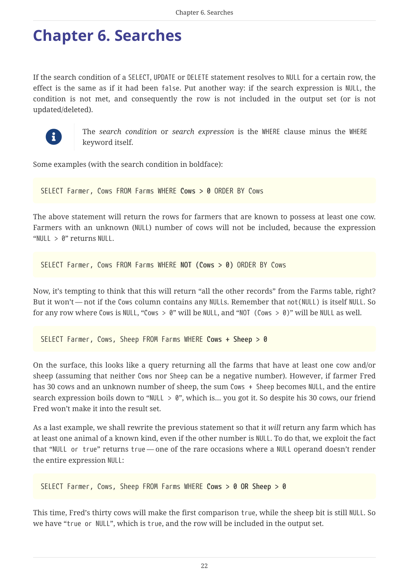# <span id="page-22-0"></span>**Chapter 6. Searches**

<span id="page-22-1"></span>If the search condition of a SELECT, UPDATE or DELETE statement resolves to NULL for a certain row, the effect is the same as if it had been false. Put another way: if the search expression is NULL, the condition is not met, and consequently the row is not included in the output set (or is not updated/deleted).



The *search condition* or *search expression* is the WHERE clause minus the WHERE keyword itself.

Some examples (with the search condition in boldface):

SELECT Farmer, Cows FROM Farms WHERE **Cows > 0** ORDER BY Cows

The above statement will return the rows for farmers that are known to possess at least one cow. Farmers with an unknown (NULL) number of cows will not be included, because the expression "NULL > 0" returns NULL.

SELECT Farmer, Cows FROM Farms WHERE **NOT (Cows > 0)** ORDER BY Cows

Now, it's tempting to think that this will return "all the other records" from the Farms table, right? But it won't — not if the Cows column contains any NULLs. Remember that not(NULL) is itself NULL. So for any row where Cows is NULL, "Cows > 0" will be NULL, and "NOT (Cows > 0)" will be NULL as well.

SELECT Farmer, Cows, Sheep FROM Farms WHERE **Cows + Sheep > 0**

On the surface, this looks like a query returning all the farms that have at least one cow and/or sheep (assuming that neither Cows nor Sheep can be a negative number). However, if farmer Fred has 30 cows and an unknown number of sheep, the sum Cows + Sheep becomes NULL, and the entire search expression boils down to "NULL > 0", which is... you got it. So despite his 30 cows, our friend Fred won't make it into the result set.

As a last example, we shall rewrite the previous statement so that it *will* return any farm which has at least one animal of a known kind, even if the other number is NULL. To do that, we exploit the fact that "NULL or true" returns true — one of the rare occasions where a NULL operand doesn't render the entire expression NULL:

```
SELECT Farmer, Cows, Sheep FROM Farms WHERE Cows > 0 OR Sheep > 0
```
This time, Fred's thirty cows will make the first comparison true, while the sheep bit is still NULL. So we have "true or NULL", which is true, and the row will be included in the output set.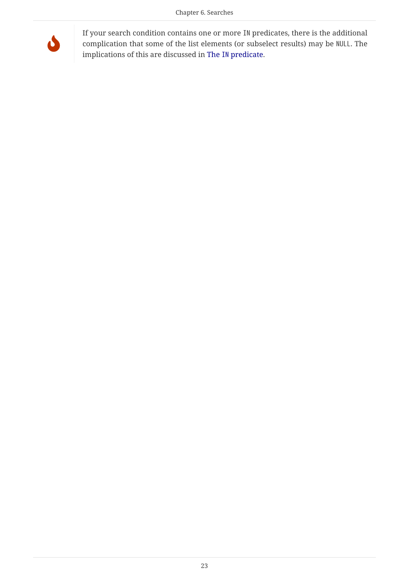

If your search condition contains one or more IN predicates, there is the additional complication that some of the list elements (or subselect results) may be NULL. The implications of this are discussed in [The](#page-14-1) [IN](#page-14-1) [predicate](#page-14-1).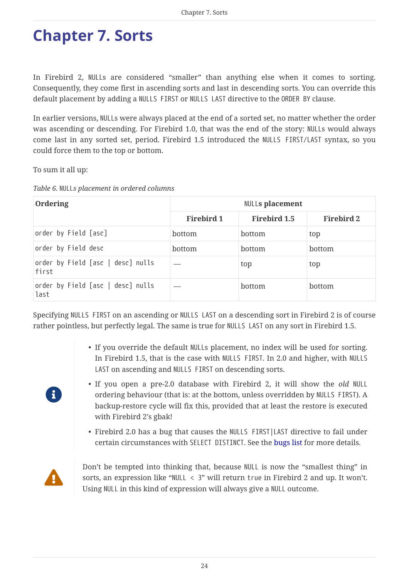# <span id="page-24-0"></span>**Chapter 7. Sorts**

<span id="page-24-2"></span>In Firebird 2, NULLs are considered "smaller" than anything else when it comes to sorting. Consequently, they come first in ascending sorts and last in descending sorts. You can override this default placement by adding a NULLS FIRST or NULLS LAST directive to the ORDER BY clause.

In earlier versions, NULLs were always placed at the end of a sorted set, no matter whether the order was ascending or descending. For Firebird 1.0, that was the end of the story: NULLs would always come last in any sorted set, period. Firebird 1.5 introduced the NULLS FIRST/LAST syntax, so you could force them to the top or bottom.

To sum it all up:

| Table 6. NULLs placement in ordered columns |  |
|---------------------------------------------|--|
|---------------------------------------------|--|

| Ordering                                   | <b>NULLs placement</b> |                     |                   |
|--------------------------------------------|------------------------|---------------------|-------------------|
|                                            | Firebird 1             | <b>Firebird 1.5</b> | <b>Firebird 2</b> |
| order by Field [asc]                       | bottom                 | bottom              | top               |
| order by Field desc                        | bottom                 | bottom              | bottom            |
| order by Field [asc   desc] nulls<br>first |                        | top                 | top               |
| order by Field [asc   desc] nulls<br>last  |                        | bottom              | bottom            |

Specifying NULLS FIRST on an ascending or NULLS LAST on a descending sort in Firebird 2 is of course rather pointless, but perfectly legal. The same is true for NULLS LAST on any sort in Firebird 1.5.

- If you override the default NULLs placement, no index will be used for sorting. In Firebird 1.5, that is the case with NULLS FIRST. In 2.0 and higher, with NULLS LAST on ascending and NULLS FIRST on descending sorts.
- If you open a pre-2.0 database with Firebird 2, it will show the *old* NULL ordering behaviour (that is: at the bottom, unless overridden by NULLS FIRST). A backup-restore cycle will fix this, provided that at least the restore is executed with Firebird 2's gbak!
- <span id="page-24-1"></span>• Firebird 2.0 has a bug that causes the NULLS FIRST|LAST directive to fail under certain circumstances with SELECT DISTINCT. See the [bugs list](#page-62-0) for more details.



 $\mathbf{H}$ 

Don't be tempted into thinking that, because NULL is now the "smallest thing" in sorts, an expression like "NULL < 3" will return true in Firebird 2 and up. It won't. Using NULL in this kind of expression will always give a NULL outcome.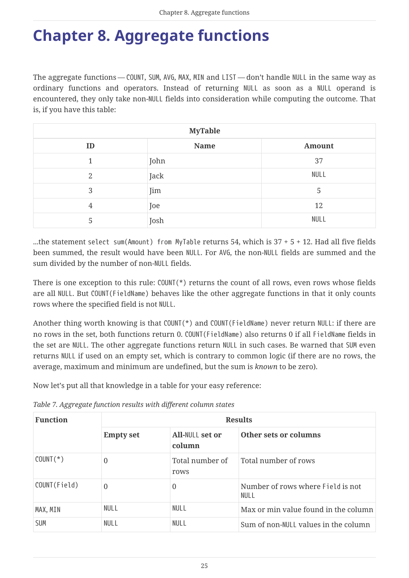# <span id="page-25-0"></span>**Chapter 8. Aggregate functions**

<span id="page-25-1"></span>The aggregate functions — COUNT, SUM, AVG, MAX, MIN and LIST — don't handle NULL in the same way as ordinary functions and operators. Instead of returning NULL as soon as a NULL operand is encountered, they only take non-NULL fields into consideration while computing the outcome. That is, if you have this table:

| <b>MyTable</b> |      |               |  |
|----------------|------|---------------|--|
| ID             | Name | <b>Amount</b> |  |
| 1              | John | 37            |  |
| $\overline{2}$ | Jack | <b>NULL</b>   |  |
| 3              | Jim  | 5             |  |
| 4              | Joe  | 12            |  |
| 5              | Josh | <b>NULL</b>   |  |

...the statement select sum(Amount) from MyTable returns 54, which is 37 + 5 + 12. Had all five fields been summed, the result would have been NULL. For AVG, the non-NULL fields are summed and the sum divided by the number of non-NULL fields.

There is one exception to this rule: COUNT(\*) returns the count of all rows, even rows whose fields are all NULL. But COUNT(FieldName) behaves like the other aggregate functions in that it only counts rows where the specified field is not NULL.

Another thing worth knowing is that COUNT(\*) and COUNT(FieldName) never return NULL: if there are no rows in the set, both functions return 0. COUNT(FieldName) also returns 0 if all FieldName fields in the set are NULL. The other aggregate functions return NULL in such cases. Be warned that SUM even returns NULL if used on an empty set, which is contrary to common logic (if there are no rows, the average, maximum and minimum are undefined, but the sum is *known* to be zero).

Now let's put all that knowledge in a table for your easy reference:

| <b>Function</b> | <b>Results</b>   |                           |                                           |
|-----------------|------------------|---------------------------|-------------------------------------------|
|                 | <b>Empty set</b> | All-NULL set or<br>column | Other sets or columns                     |
| $COUNT(*)$      | $\theta$         | Total number of<br>rows   | Total number of rows                      |
| COUNT(Field)    | $\Omega$         | 0                         | Number of rows where Field is not<br>NULL |
| MAX, MIN        | NULL             | NULL                      | Max or min value found in the column      |
| <b>SUM</b>      | NULL             | NULL                      | Sum of non-NULL values in the column      |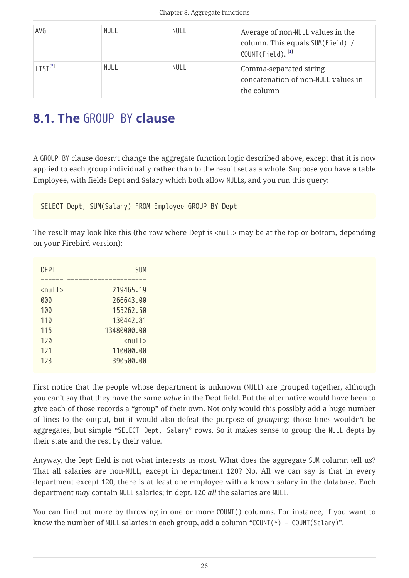<span id="page-26-3"></span><span id="page-26-2"></span>

| AVG                    | <b>NULL</b> | NULL | Average of non-NULL values in the<br>column. This equals SUM(Field) /<br>COUNT(Field). <sup>[1]</sup> |
|------------------------|-------------|------|-------------------------------------------------------------------------------------------------------|
| $I$ TST <sup>[2]</sup> | NULL        | NULL | Comma-separated string<br>concatenation of non-NULL values in<br>the column                           |

## <span id="page-26-0"></span>**8.1. The** GROUP BY **clause**

<span id="page-26-4"></span>A GROUP BY clause doesn't change the aggregate function logic described above, except that it is now applied to each group individually rather than to the result set as a whole. Suppose you have a table Employee, with fields Dept and Salary which both allow NULLs, and you run this query:

<span id="page-26-1"></span>SELECT Dept, SUM(Salary) FROM Employee GROUP BY Dept

The result may look like this (the row where Dept is <null> may be at the top or bottom, depending on your Firebird version):

| <b>DEPT</b>                   | SUM                           |
|-------------------------------|-------------------------------|
|                               |                               |
| $\langle \text{null} \rangle$ | 219465.19                     |
| 000                           | 266643.00                     |
| 100                           | 155262.50                     |
| 110                           | 130442.81                     |
| 115                           | 13480000.00                   |
| 120                           | $\langle \text{null} \rangle$ |
| 121                           | 110000.00                     |
| 123                           | 390500.00                     |

First notice that the people whose department is unknown (NULL) are grouped together, although you can't say that they have the same *value* in the Dept field. But the alternative would have been to give each of those records a "group" of their own. Not only would this possibly add a huge number of lines to the output, but it would also defeat the purpose of *group*ing: those lines wouldn't be aggregates, but simple "SELECT Dept, Salary" rows. So it makes sense to group the NULL depts by their state and the rest by their value.

Anyway, the Dept field is not what interests us most. What does the aggregate SUM column tell us? That all salaries are non-NULL, except in department 120? No. All we can say is that in every department except 120, there is at least one employee with a known salary in the database. Each department *may* contain NULL salaries; in dept. 120 *all* the salaries are NULL.

You can find out more by throwing in one or more COUNT() columns. For instance, if you want to know the number of NULL salaries in each group, add a column "COUNT(\*) – COUNT(Salary)".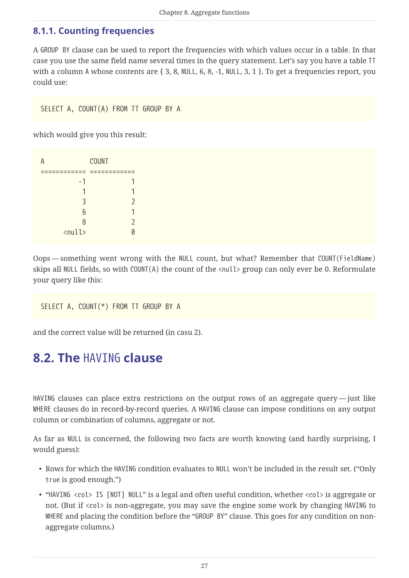#### <span id="page-27-0"></span>**8.1.1. Counting frequencies**

A GROUP BY clause can be used to report the frequencies with which values occur in a table. In that case you use the same field name several times in the query statement. Let's say you have a table TT with a column A whose contents are { 3, 8, NULL, 6, 8, -1, NULL, 3, 1 }. To get a frequencies report, you could use:

SELECT A, COUNT(A) FROM TT GROUP BY A

which would give you this result:

|                               | <b>COUNT</b> |
|-------------------------------|--------------|
|                               |              |
| $-1$                          |              |
| Ί                             |              |
| 3                             |              |
| 6                             |              |
| 8                             |              |
| $\langle \text{null} \rangle$ |              |

Oops — something went wrong with the NULL count, but what? Remember that COUNT(FieldName) skips all NULL fields, so with COUNT(A) the count of the <null> group can only ever be 0. Reformulate your query like this:

```
SELECT A, COUNT(*) FROM TT GROUP BY A
```
and the correct value will be returned (in casu 2).

## <span id="page-27-1"></span>**8.2. The** HAVING **clause**

<span id="page-27-2"></span>HAVING clauses can place extra restrictions on the output rows of an aggregate query — just like WHERE clauses do in record-by-record queries. A HAVING clause can impose conditions on any output column or combination of columns, aggregate or not.

As far as NULL is concerned, the following two facts are worth knowing (and hardly surprising, I would guess):

- Rows for which the HAVING condition evaluates to NULL won't be included in the result set. ("Only true is good enough.")
- "HAVING <col> IS [NOT] NULL" is a legal and often useful condition, whether <col> is aggregate or not. (But if <col> is non-aggregate, you may save the engine some work by changing HAVING to WHERE and placing the condition before the "GROUP BY" clause. This goes for any condition on nonaggregate columns.)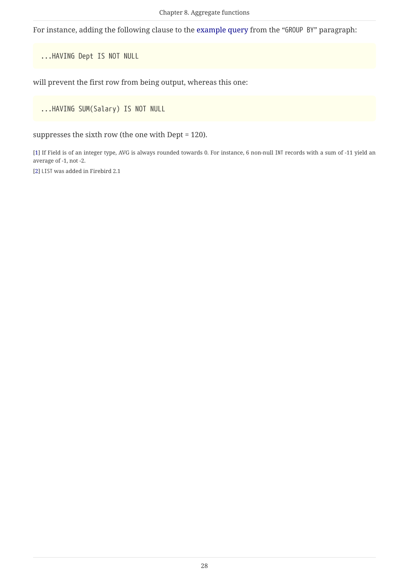For instance, adding the following clause to the [example query](#page-26-1) from the "GROUP BY" paragraph:

...HAVING Dept IS NOT NULL

will prevent the first row from being output, whereas this one:

...HAVING SUM(Salary) IS NOT NULL

suppresses the sixth row (the one with Dept = 120).

<span id="page-28-0"></span>[\[1\]](#page-26-2) If Field is of an integer type, AVG is always rounded towards 0. For instance, 6 non-null INT records with a sum of -11 yield an average of -1, not -2.

<span id="page-28-1"></span>[\[2\]](#page-26-3) LIST was added in Firebird 2.1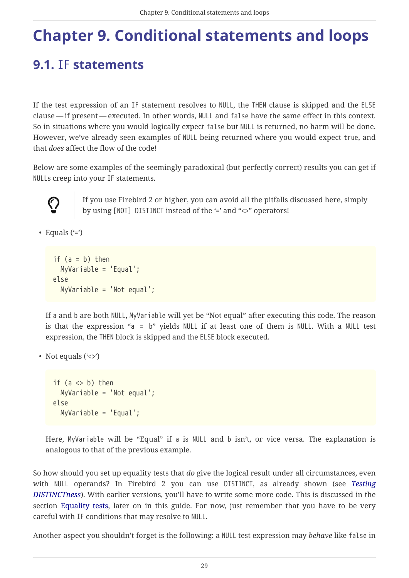# <span id="page-29-0"></span>**Chapter 9. Conditional statements and loops**

## <span id="page-29-1"></span>**9.1.** IF **statements**

<span id="page-29-2"></span>If the test expression of an IF statement resolves to NULL, the THEN clause is skipped and the ELSE clause — if present — executed. In other words, NULL and false have the same effect in this context. So in situations where you would logically expect false but NULL is returned, no harm will be done. However, we've already seen examples of NULL being returned where you would expect true, and that *does* affect the flow of the code!

Below are some examples of the seemingly paradoxical (but perfectly correct) results you can get if NULLs creep into your IF statements.



If you use Firebird 2 or higher, you can avoid all the pitfalls discussed here, simply by using [NOT] DISTINCT instead of the '=' and "<>" operators!

• Equals  $(*)$ 

```
if (a = b) then
    MyVariable = 'Equal';
else
    MyVariable = 'Not equal';
```
If a and b are both NULL, MyVariable will yet be "Not equal" after executing this code. The reason is that the expression "a = b" yields NULL if at least one of them is NULL. With a NULL test expression, the THEN block is skipped and the ELSE block executed.

```
• Not equals (\langle \rangle)
```

```
if (a \Leftrightarrow b) then
    MyVariable = 'Not equal';
else
    MyVariable = 'Equal';
```
Here, MyVariable will be "Equal" if a is NULL and b isn't, or vice versa. The explanation is analogous to that of the previous example.

So how should you set up equality tests that *do* give the logical result under all circumstances, even with NULL operands? In Firebird 2 you can use DISTINCT, as already shown (see *[Testing](#page-7-1) [DISTINCTness](#page-7-1)*). With earlier versions, you'll have to write some more code. This is discussed in the section [Equality tests,](#page-55-0) later on in this guide. For now, just remember that you have to be very careful with IF conditions that may resolve to NULL.

Another aspect you shouldn't forget is the following: a NULL test expression may *behave* like false in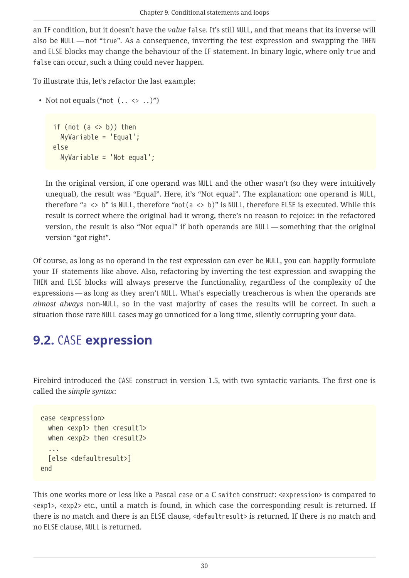an IF condition, but it doesn't have the *value* false. It's still NULL, and that means that its inverse will also be NULL — not "true". As a consequence, inverting the test expression and swapping the THEN and ELSE blocks may change the behaviour of the IF statement. In binary logic, where only true and false can occur, such a thing could never happen.

To illustrate this, let's refactor the last example:

• Not not equals ("not  $( . . < . )$ ")

```
if (not (a \Leftrightarrow b)) then
    MyVariable = 'Equal';
else
    MyVariable = 'Not equal';
```
In the original version, if one operand was NULL and the other wasn't (so they were intuitively unequal), the result was "Equal". Here, it's "Not equal". The explanation: one operand is NULL, therefore "a <> b" is NULL, therefore "not(a <> b)" is NULL, therefore ELSE is executed. While this result is correct where the original had it wrong, there's no reason to rejoice: in the refactored version, the result is also "Not equal" if both operands are NULL — something that the original version "got right".

Of course, as long as no operand in the test expression can ever be NULL, you can happily formulate your IF statements like above. Also, refactoring by inverting the test expression and swapping the THEN and ELSE blocks will always preserve the functionality, regardless of the complexity of the expressions — as long as they aren't NULL. What's especially treacherous is when the operands are *almost always* non-NULL, so in the vast majority of cases the results will be correct. In such a situation those rare NULL cases may go unnoticed for a long time, silently corrupting your data.

## <span id="page-30-0"></span>**9.2.** CASE **expression**

<span id="page-30-1"></span>Firebird introduced the CASE construct in version 1.5, with two syntactic variants. The first one is called the *simple syntax*:

```
case <expression>
 when <exp1> then <result1>
 when <exp2> then <result2>
    ...
    [else <defaultresult>]
end
```
This one works more or less like a Pascal case or a C switch construct: <expression> is compared to <exp1>, <exp2> etc., until a match is found, in which case the corresponding result is returned. If there is no match and there is an ELSE clause, <defaultresult> is returned. If there is no match and no ELSE clause, NULL is returned.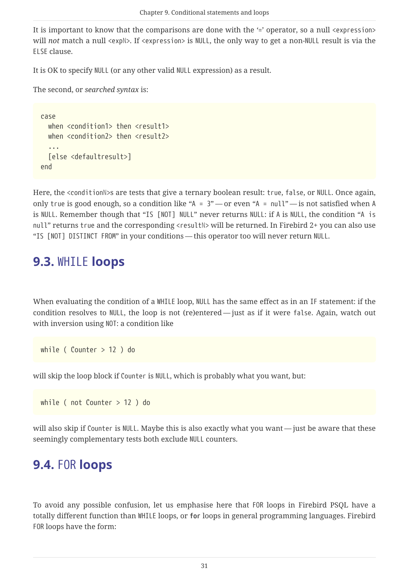It is important to know that the comparisons are done with the '=' operator, so a null <expression> will *not* match a null <exp*N>*. If <expression> is NULL, the only way to get a non-NULL result is via the ELSE clause.

It is OK to specify NULL (or any other valid NULL expression) as a result.

The second, or *searched syntax* is:

```
case
 when <condition1> then <result1>
   when <condition2> then <result2>
    ...
    [else <defaultresult>]
end
```
Here, the <condition<sup>8</sup>>s are tests that give a ternary boolean result: true, false, or NULL. Once again, only true is good enough, so a condition like "A = 3" — or even "A = null" — is not satisfied when A is NULL. Remember though that "IS [NOT] NULL" never returns NULL: if A is NULL, the condition "A is null" returns true and the corresponding <result*N*> will be returned. In Firebird 2+ you can also use "IS [NOT] DISTINCT FROM" in your conditions — this operator too will never return NULL.

### <span id="page-31-0"></span>**9.3.** WHILE **loops**

<span id="page-31-3"></span>When evaluating the condition of a WHILE loop, NULL has the same effect as in an IF statement: if the condition resolves to NULL, the loop is not (re)entered — just as if it were false. Again, watch out with inversion using NOT: a condition like

while ( Counter > 12 ) do

will skip the loop block if Counter is NULL, which is probably what you want, but:

while ( not Counter > 12 ) do

will also skip if Counter is NULL. Maybe this is also exactly what you want — just be aware that these seemingly complementary tests both exclude NULL counters.

### <span id="page-31-1"></span>**9.4.** FOR **loops**

<span id="page-31-2"></span>To avoid any possible confusion, let us emphasise here that FOR loops in Firebird PSQL have a totally different function than WHILE loops, or **for** loops in general programming languages. Firebird FOR loops have the form: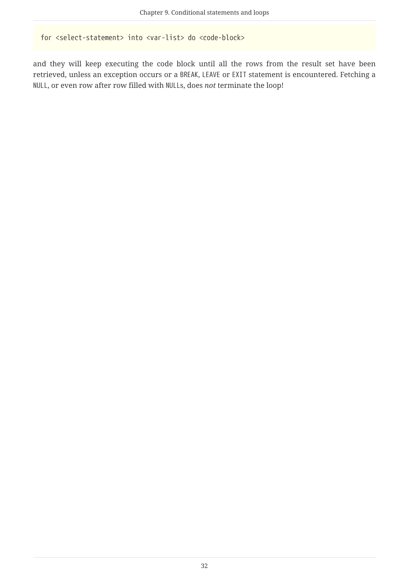for <select-statement> into <var-list> do <code-block>

and they will keep executing the code block until all the rows from the result set have been retrieved, unless an exception occurs or a BREAK, LEAVE or EXIT statement is encountered. Fetching a NULL, or even row after row filled with NULLs, does *not* terminate the loop!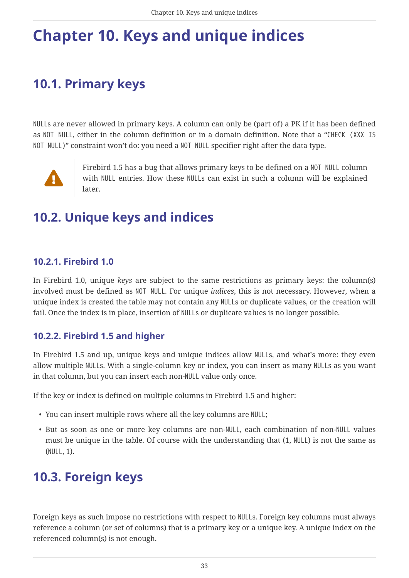# <span id="page-33-0"></span>**Chapter 10. Keys and unique indices**

# <span id="page-33-7"></span><span id="page-33-1"></span>**10.1. Primary keys**

<span id="page-33-9"></span>NULLs are never allowed in primary keys. A column can only be (part of) a PK if it has been defined as NOT NULL, either in the column definition or in a domain definition. Note that a "CHECK (XXX IS NOT NULL)" constraint won't do: you need a NOT NULL specifier right after the data type.



Firebird 1.5 has a bug that allows primary keys to be defined on a NOT NULL column with NULL entries. How these NULLs can exist in such a column will be explained later.

## <span id="page-33-8"></span><span id="page-33-2"></span>**10.2. Unique keys and indices**

#### <span id="page-33-3"></span>**10.2.1. Firebird 1.0**

In Firebird 1.0, unique *keys* are subject to the same restrictions as primary keys: the column(s) involved must be defined as NOT NULL. For unique *indices*, this is not necessary. However, when a unique index is created the table may not contain any NULLs or duplicate values, or the creation will fail. Once the index is in place, insertion of NULLs or duplicate values is no longer possible.

#### <span id="page-33-4"></span>**10.2.2. Firebird 1.5 and higher**

In Firebird 1.5 and up, unique keys and unique indices allow NULLs, and what's more: they even allow multiple NULLs. With a single-column key or index, you can insert as many NULLs as you want in that column, but you can insert each non-NULL value only once.

If the key or index is defined on multiple columns in Firebird 1.5 and higher:

- You can insert multiple rows where all the key columns are NULL;
- But as soon as one or more key columns are non-NULL, each combination of non-NULL values must be unique in the table. Of course with the understanding that (1, NULL) is not the same as (NULL, 1).

## <span id="page-33-5"></span>**10.3. Foreign keys**

<span id="page-33-6"></span>Foreign keys as such impose no restrictions with respect to NULLs. Foreign key columns must always reference a column (or set of columns) that is a primary key or a unique key. A unique index on the referenced column(s) is not enough.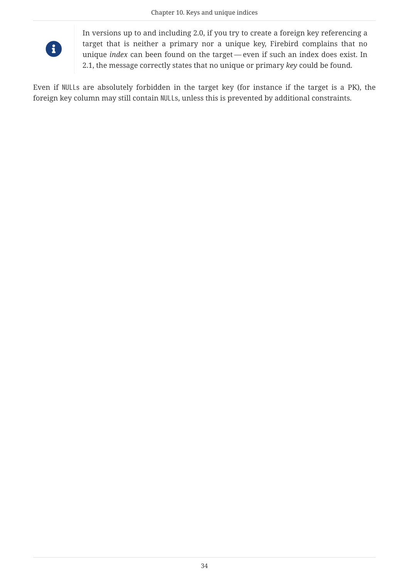

In versions up to and including 2.0, if you try to create a foreign key referencing a target that is neither a primary nor a unique key, Firebird complains that no unique *index* can been found on the target — even if such an index does exist. In 2.1, the message correctly states that no unique or primary *key* could be found.

Even if NULLs are absolutely forbidden in the target key (for instance if the target is a PK), the foreign key column may still contain NULLs, unless this is prevented by additional constraints.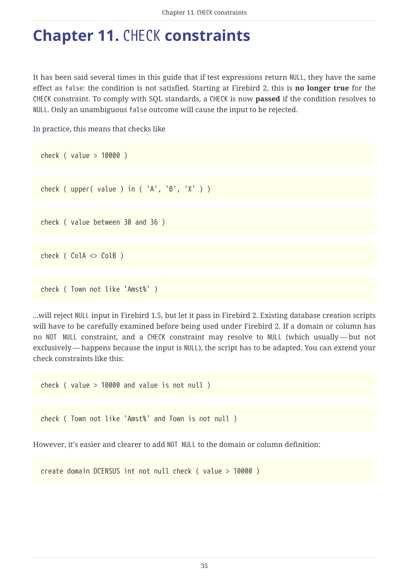# <span id="page-35-0"></span>**Chapter 11.** CHECK **constraints**

<span id="page-35-1"></span>It has been said several times in this guide that if test expressions return NULL, they have the same effect as false: the condition is not satisfied. Starting at Firebird 2, this is **no longer true** for the CHECK constraint. To comply with SQL standards, a CHECK is now **passed** if the condition resolves to NULL. Only an unambiguous false outcome will cause the input to be rejected.

In practice, this means that checks like

```
check ( value > 10000 )
check ( upper( value ) in ( 'A', 'B', 'X' ) )
check ( value between 30 and 36 )
```

```
check ( ColA <> ColB )
```

```
check ( Town not like 'Amst%' )
```
...will reject NULL input in Firebird 1.5, but let it pass in Firebird 2. Existing database creation scripts will have to be carefully examined before being used under Firebird 2. If a domain or column has no NOT NULL constraint, and a CHECK constraint may resolve to NULL (which usually — but not exclusively — happens because the input is NULL), the script has to be adapted. You can extend your check constraints like this:

check ( value > 10000 and value is not null )

check ( Town not like 'Amst%' and Town is not null )

However, it's easier and clearer to add NOT NULL to the domain or column definition:

create domain DCENSUS int not null check ( value > 10000 )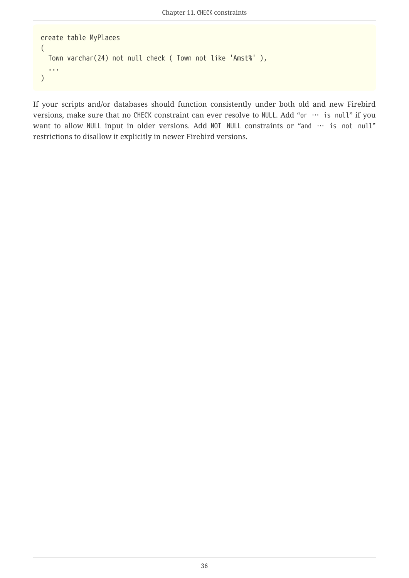```
create table MyPlaces
(
    Town varchar(24) not null check ( Town not like 'Amst%' ),
    ...
)
```
If your scripts and/or databases should function consistently under both old and new Firebird versions, make sure that no CHECK constraint can ever resolve to NULL. Add "or … is null" if you want to allow NULL input in older versions. Add NOT NULL constraints or "and … is not null" restrictions to disallow it explicitly in newer Firebird versions.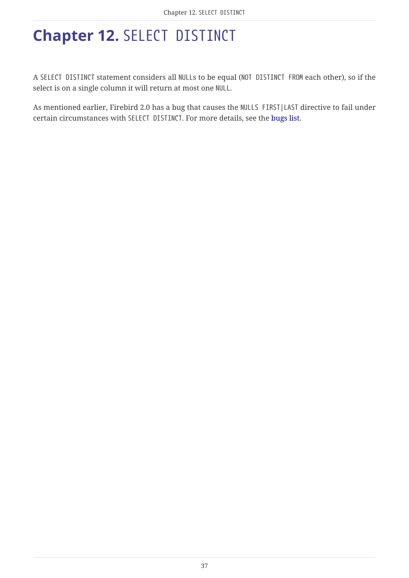# <span id="page-37-0"></span>**Chapter 12.** SELECT DISTINCT

<span id="page-37-1"></span>A SELECT DISTINCT statement considers all NULLs to be equal (NOT DISTINCT FROM each other), so if the select is on a single column it will return at most one NULL.

As mentioned earlier, Firebird 2.0 has a bug that causes the NULLS FIRST|LAST directive to fail under certain circumstances with SELECT DISTINCT. For more details, see the [bugs list](#page-62-0).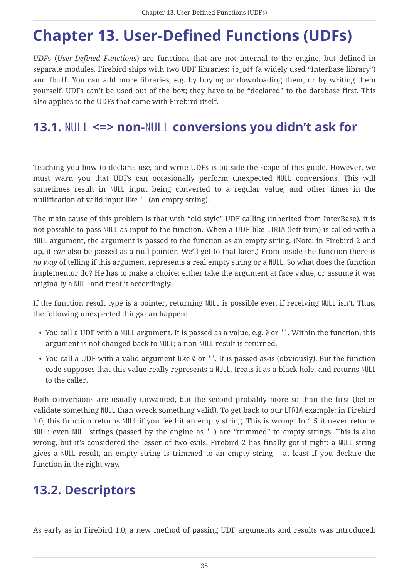# <span id="page-38-0"></span>**Chapter 13. User-Defined Functions (UDFs)**

*UDF*s (*User-Defined Functions*) are functions that are not internal to the engine, but defined in separate modules. Firebird ships with two UDF libraries: ib udf (a widely used "InterBase library") and fbudf. You can add more libraries, e.g. by buying or downloading them, or by writing them yourself. UDFs can't be used out of the box; they have to be "declared" to the database first. This also applies to the UDFs that come with Firebird itself.

## <span id="page-38-1"></span>**13.1.** NULL **<=> non-**NULL **conversions you didn't ask for**

<span id="page-38-3"></span>Teaching you how to declare, use, and write UDFs is outside the scope of this guide. However, we must warn you that UDFs can occasionally perform unexpected NULL conversions. This will sometimes result in NULL input being converted to a regular value, and other times in the nullification of valid input like '' (an empty string).

The main cause of this problem is that with "old style" UDF calling (inherited from InterBase), it is not possible to pass NULL as input to the function. When a UDF like LTRIM (left trim) is called with a NULL argument, the argument is passed to the function as an empty string. (Note: in Firebird 2 and up, it *can* also be passed as a null pointer. We'll get to that later.) From inside the function there is *no way* of telling if this argument represents a real empty string or a NULL. So what does the function implementor do? He has to make a choice: either take the argument at face value, or assume it was originally a NULL and treat it accordingly.

If the function result type is a pointer, returning NULL is possible even if receiving NULL isn't. Thus, the following unexpected things can happen:

- You call a UDF with a NULL argument. It is passed as a value, e.g. 0 or ''. Within the function, this argument is not changed back to NULL; a non-NULL result is returned.
- You call a UDF with a valid argument like 0 or ''. It is passed as-is (obviously). But the function code supposes that this value really represents a NULL, treats it as a black hole, and returns NULL to the caller.

Both conversions are usually unwanted, but the second probably more so than the first (better validate something NULL than wreck something valid). To get back to our LTRIM example: in Firebird 1.0, this function returns NULL if you feed it an empty string. This is wrong. In 1.5 it never returns NULL: even NULL strings (passed by the engine as '') are "trimmed" to empty strings. This is also wrong, but it's considered the lesser of two evils. Firebird 2 has finally got it right: a NULL string gives a NULL result, an empty string is trimmed to an empty string — at least if you declare the function in the right way.

## <span id="page-38-2"></span>**13.2. Descriptors**

<span id="page-38-4"></span>As early as in Firebird 1.0, a new method of passing UDF arguments and results was introduced: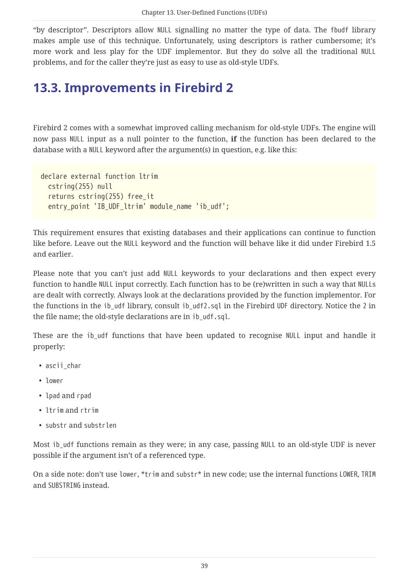"by descriptor". Descriptors allow NULL signalling no matter the type of data. The fbudf library makes ample use of this technique. Unfortunately, using descriptors is rather cumbersome; it's more work and less play for the UDF implementor. But they do solve all the traditional NULL problems, and for the caller they're just as easy to use as old-style UDFs.

## <span id="page-39-0"></span>**13.3. Improvements in Firebird 2**

<span id="page-39-1"></span>Firebird 2 comes with a somewhat improved calling mechanism for old-style UDFs. The engine will now pass NULL input as a null pointer to the function, **if** the function has been declared to the database with a NULL keyword after the argument(s) in question, e.g. like this:

```
declare external function ltrim
    cstring(255) null
    returns cstring(255) free_it
 entry point 'IB UDF ltrim' module name 'ib udf';
```
This requirement ensures that existing databases and their applications can continue to function like before. Leave out the NULL keyword and the function will behave like it did under Firebird 1.5 and earlier.

Please note that you can't just add NULL keywords to your declarations and then expect every function to handle NULL input correctly. Each function has to be (re)written in such a way that NULLs are dealt with correctly. Always look at the declarations provided by the function implementor. For the functions in the ib\_udf library, consult ib\_udf2.sql in the Firebird UDF directory. Notice the 2 in the file name; the old-style declarations are in ib\_udf.sql.

These are the ib udf functions that have been updated to recognise NULL input and handle it properly:

- ascii char
- lower
- lpad and rpad
- ltrim and rtrim
- substr and substrlen

Most ib\_udf functions remain as they were; in any case, passing NULL to an old-style UDF is never possible if the argument isn't of a referenced type.

On a side note: don't use lower, \*trim and substr\* in new code; use the internal functions LOWER, TRIM and SUBSTRING instead.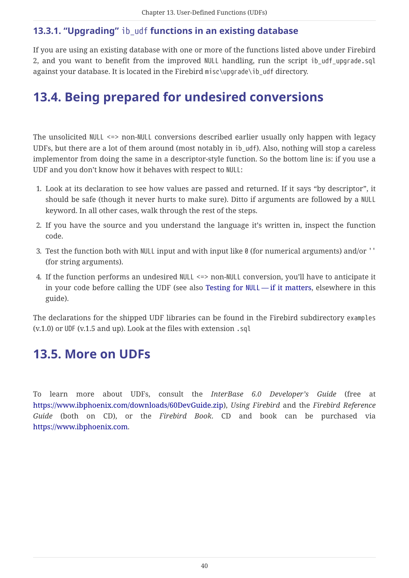#### <span id="page-40-4"></span><span id="page-40-0"></span>**13.3.1. "Upgrading"** ib\_udf **functions in an existing database**

If you are using an existing database with one or more of the functions listed above under Firebird 2, and you want to benefit from the improved NULL handling, run the script ib\_udf\_upgrade.sql against your database. It is located in the Firebird misc\upgrade\ib\_udf directory.

## <span id="page-40-1"></span>**13.4. Being prepared for undesired conversions**

<span id="page-40-3"></span>The unsolicited NULL <=> non-NULL conversions described earlier usually only happen with legacy UDFs, but there are a lot of them around (most notably in ib\_udf). Also, nothing will stop a careless implementor from doing the same in a descriptor-style function. So the bottom line is: if you use a UDF and you don't know how it behaves with respect to NULL:

- 1. Look at its declaration to see how values are passed and returned. If it says "by descriptor", it should be safe (though it never hurts to make sure). Ditto if arguments are followed by a NULL keyword. In all other cases, walk through the rest of the steps.
- 2. If you have the source and you understand the language it's written in, inspect the function code.
- 3. Test the function both with NULL input and with input like 0 (for numerical arguments) and/or '' (for string arguments).
- 4. If the function performs an undesired NULL <=> non-NULL conversion, you'll have to anticipate it in your code before calling the UDF (see also [Testing for](#page-54-1) [NULL](#page-54-1) — [if it matters,](#page-54-1) elsewhere in this guide).

The declarations for the shipped UDF libraries can be found in the Firebird subdirectory examples (v.1.0) or UDF (v.1.5 and up). Look at the files with extension .sql

## <span id="page-40-2"></span>**13.5. More on UDFs**

<span id="page-40-5"></span>To learn more about UDFs, consult the *InterBase 6.0 Developer's Guide* (free at <https://www.ibphoenix.com/downloads/60DevGuide.zip>), *Using Firebird* and the *Firebird Reference Guide* (both on CD), or the *Firebird Book*. CD and book can be purchased via <https://www.ibphoenix.com>.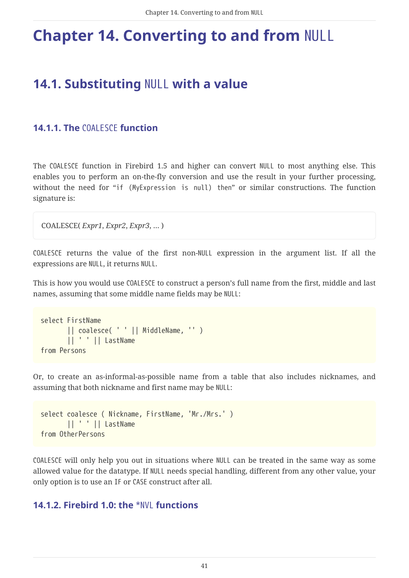# <span id="page-41-0"></span>**Chapter 14. Converting to and from** NULL

## <span id="page-41-5"></span><span id="page-41-1"></span>**14.1. Substituting** NULL **with a value**

#### <span id="page-41-6"></span><span id="page-41-4"></span><span id="page-41-2"></span>**14.1.1. The** COALESCE **function**

The COALESCE function in Firebird 1.5 and higher can convert NULL to most anything else. This enables you to perform an on-the-fly conversion and use the result in your further processing, without the need for "if (MyExpression is null) then" or similar constructions. The function signature is:

```
COALESCE( Expr1, Expr2, Expr3, … )
```
COALESCE returns the value of the first non-NULL expression in the argument list. If all the expressions are NULL, it returns NULL.

This is how you would use COALESCE to construct a person's full name from the first, middle and last names, assuming that some middle name fields may be NULL:

```
select FirstName
         || coalesce( ' ' || MiddleName, '' )
         || ' ' || LastName
from Persons
```
Or, to create an as-informal-as-possible name from a table that also includes nicknames, and assuming that both nickname and first name may be NULL:

```
select coalesce ( Nickname, FirstName, 'Mr./Mrs.' )
         || ' ' || LastName
from OtherPersons
```
COALESCE will only help you out in situations where NULL can be treated in the same way as some allowed value for the datatype. If NULL needs special handling, different from any other value, your only option is to use an IF or CASE construct after all.

#### <span id="page-41-7"></span><span id="page-41-3"></span>**14.1.2. Firebird 1.0: the** \*NVL **functions**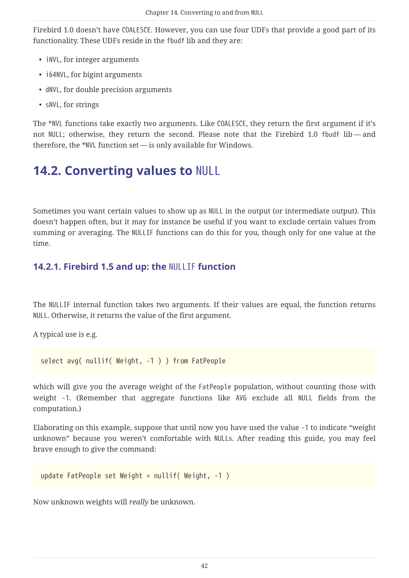Firebird 1.0 doesn't have COALESCE. However, you can use four UDFs that provide a good part of its functionality. These UDFs reside in the fbudf lib and they are:

- iNVL, for integer arguments
- i64NVL, for bigint arguments
- dNVL, for double precision arguments
- sNVL, for strings

The \*NVL functions take exactly two arguments. Like COALESCE, they return the first argument if it's not NULL; otherwise, they return the second. Please note that the Firebird 1.0 fbudf lib — and therefore, the \*NVL function set — is only available for Windows.

## <span id="page-42-0"></span>**14.2. Converting values to** NULL

<span id="page-42-2"></span>Sometimes you want certain values to show up as NULL in the output (or intermediate output). This doesn't happen often, but it may for instance be useful if you want to exclude certain values from summing or averaging. The NULLIF functions can do this for you, though only for one value at the time.

#### <span id="page-42-3"></span><span id="page-42-1"></span>**14.2.1. Firebird 1.5 and up: the** NULLIF **function**

The NULLIF internal function takes two arguments. If their values are equal, the function returns NULL. Otherwise, it returns the value of the first argument.

A typical use is e.g.

select avg( nullif( Weight, -1 ) ) from FatPeople

which will give you the average weight of the FatPeople population, without counting those with weight -1. (Remember that aggregate functions like AVG exclude all NULL fields from the computation.)

Elaborating on this example, suppose that until now you have used the value -1 to indicate "weight unknown" because you weren't comfortable with NULLs. After reading this guide, you may feel brave enough to give the command:

```
update FatPeople set Weight = nullif( Weight, -1 )
```
Now unknown weights will *really* be unknown.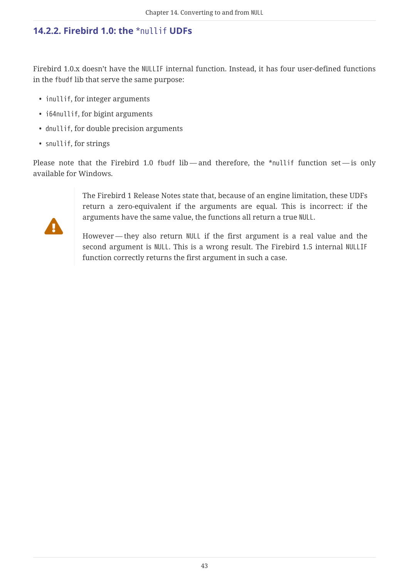#### <span id="page-43-1"></span><span id="page-43-0"></span>**14.2.2. Firebird 1.0: the** \*nullif **UDFs**

Firebird 1.0.x doesn't have the NULLIF internal function. Instead, it has four user-defined functions in the fbudf lib that serve the same purpose:

- inullif, for integer arguments
- i64nullif, for bigint arguments
- dnullif, for double precision arguments
- snullif, for strings

Please note that the Firebird 1.0 fbudf lib—and therefore, the \*nullif function set—is only available for Windows.

> The Firebird 1 Release Notes state that, because of an engine limitation, these UDFs return a zero-equivalent if the arguments are equal. This is incorrect: if the arguments have the same value, the functions all return a true NULL.

> However — they also return NULL if the first argument is a real value and the second argument is NULL. This is a wrong result. The Firebird 1.5 internal NULLIF function correctly returns the first argument in such a case.

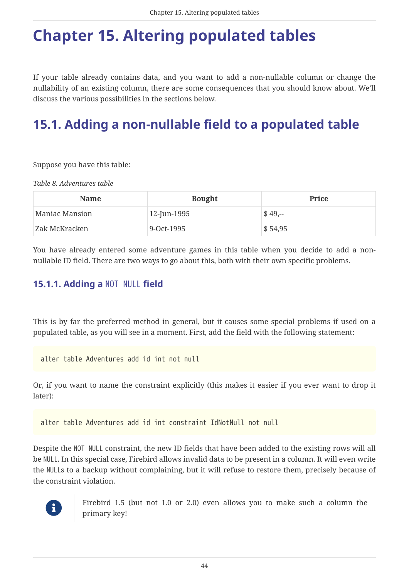# <span id="page-44-0"></span>**Chapter 15. Altering populated tables**

<span id="page-44-5"></span>If your table already contains data, and you want to add a non-nullable column or change the nullability of an existing column, there are some consequences that you should know about. We'll discuss the various possibilities in the sections below.

# <span id="page-44-1"></span>**15.1. Adding a non-nullable field to a populated table**

<span id="page-44-3"></span>Suppose you have this table:

*Table 8. Adventures table*

| <b>Name</b>    | <b>Bought</b> | Price               |
|----------------|---------------|---------------------|
| Maniac Mansion | 12-Jun-1995   | $$49,-$             |
| Zak McKracken  | 9-Oct-1995    | $\frac{1}{2}$ 54,95 |

You have already entered some adventure games in this table when you decide to add a nonnullable ID field. There are two ways to go about this, both with their own specific problems.

#### <span id="page-44-4"></span><span id="page-44-2"></span>**15.1.1. Adding a** NOT NULL **field**

This is by far the preferred method in general, but it causes some special problems if used on a populated table, as you will see in a moment. First, add the field with the following statement:

alter table Adventures add id int not null

Or, if you want to name the constraint explicitly (this makes it easier if you ever want to drop it later):

alter table Adventures add id int constraint IdNotNull not null

<span id="page-44-6"></span>Despite the NOT NULL constraint, the new ID fields that have been added to the existing rows will all be NULL. In this special case, Firebird allows invalid data to be present in a column. It will even write the NULLs to a backup without complaining, but it will refuse to restore them, precisely because of the constraint violation.



Firebird 1.5 (but not 1.0 or 2.0) even allows you to make such a column the primary key!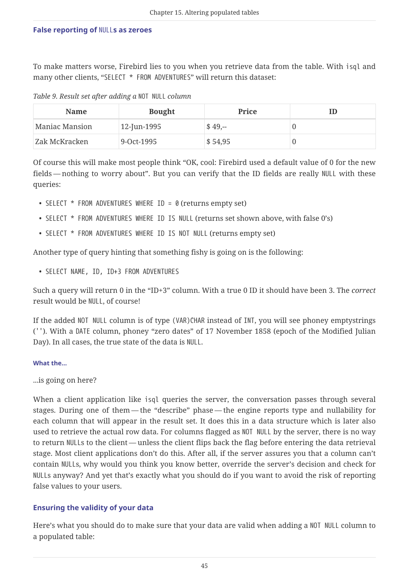#### <span id="page-45-1"></span><span id="page-45-0"></span>**False reporting of** NULL**s as zeroes**

To make matters worse, Firebird lies to you when you retrieve data from the table. With isql and many other clients, "SELECT \* FROM ADVENTURES" will return this dataset:

*Table 9. Result set after adding a* NOT NULL *column*

| <b>Name</b>    | <b>Bought</b> | <b>Price</b>           |  |
|----------------|---------------|------------------------|--|
| Maniac Mansion | 12-Jun-1995   | $$49,-$                |  |
| Zak McKracken  | 9-Oct-1995    | $\frac{1}{2}$ \$ 54,95 |  |

Of course this will make most people think "OK, cool: Firebird used a default value of 0 for the new fields — nothing to worry about". But you can verify that the ID fields are really NULL with these queries:

- SELECT  $*$  FROM ADVENTURES WHERE ID = 0 (returns empty set)
- SELECT \* FROM ADVENTURES WHERE ID IS NULL (returns set shown above, with false O's)
- SELECT \* FROM ADVENTURES WHERE ID IS NOT NULL (returns empty set)

Another type of query hinting that something fishy is going on is the following:

• SELECT NAME, ID, ID+3 FROM ADVENTURES

Such a query will return 0 in the "ID+3" column. With a true 0 ID it should have been 3. The *correct* result would be NULL, of course!

If the added NOT NULL column is of type (VAR)CHAR instead of INT, you will see phoney emptystrings (''). With a DATE column, phoney "zero dates" of 17 November 1858 (epoch of the Modified Julian Day). In all cases, the true state of the data is NULL.

#### **What the…**

...is going on here?

When a client application like isql queries the server, the conversation passes through several stages. During one of them — the "describe" phase — the engine reports type and nullability for each column that will appear in the result set. It does this in a data structure which is later also used to retrieve the actual row data. For columns flagged as NOT NULL by the server, there is no way to return NULLs to the client — unless the client flips back the flag before entering the data retrieval stage. Most client applications don't do this. After all, if the server assures you that a column can't contain NULLs, why would you think you know better, override the server's decision and check for NULLs anyway? And yet that's exactly what you should do if you want to avoid the risk of reporting false values to your users.

#### **Ensuring the validity of your data**

Here's what you should do to make sure that your data are valid when adding a NOT NULL column to a populated table: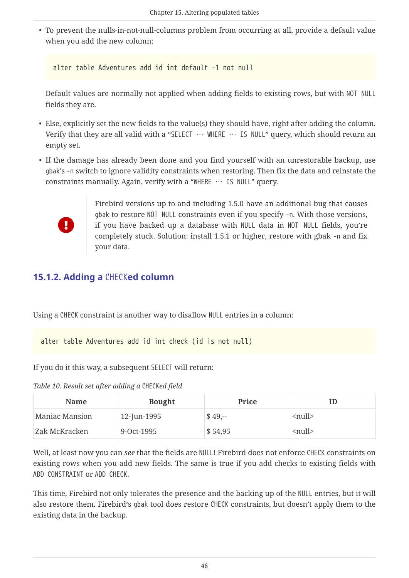• To prevent the nulls-in-not-null-columns problem from occurring at all, provide a default value when you add the new column:

```
alter table Adventures add id int default -1 not null
```
Default values are normally not applied when adding fields to existing rows, but with NOT NULL fields they are.

- Else, explicitly set the new fields to the value(s) they should have, right after adding the column. Verify that they are all valid with a "SELECT … WHERE … IS NULL" query, which should return an empty set.
- <span id="page-46-2"></span>• If the damage has already been done and you find yourself with an unrestorable backup, use gbak's -n switch to ignore validity constraints when restoring. Then fix the data and reinstate the constraints manually. Again, verify with a "WHERE … IS NULL" query.



Firebird versions up to and including 1.5.0 have an additional bug that causes gbak to restore NOT NULL constraints even if you specify -n. With those versions, if you have backed up a database with NULL data in NOT NULL fields, you're completely stuck. Solution: install 1.5.1 or higher, restore with gbak -n and fix your data.

#### <span id="page-46-1"></span><span id="page-46-0"></span>**15.1.2. Adding a** CHECK**ed column**

Using a CHECK constraint is another way to disallow NULL entries in a column:

alter table Adventures add id int check (id is not null)

If you do it this way, a subsequent SELECT will return:

*Table 10. Result set after adding a* CHECK*ed field*

| <b>Name</b>    | <b>Bought</b> | Price   |                               |
|----------------|---------------|---------|-------------------------------|
| Maniac Mansion | 12-Jun-1995   | $$49,-$ | $\langle \text{null} \rangle$ |
| Zak McKracken  | 9-Oct-1995    | \$54,95 | $\langle \text{null} \rangle$ |

Well, at least now you can *see* that the fields are NULL! Firebird does not enforce CHECK constraints on existing rows when you add new fields. The same is true if you add checks to existing fields with ADD CONSTRAINT or ADD CHECK.

This time, Firebird not only tolerates the presence and the backing up of the NULL entries, but it will also restore them. Firebird's gbak tool does restore CHECK constraints, but doesn't apply them to the existing data in the backup.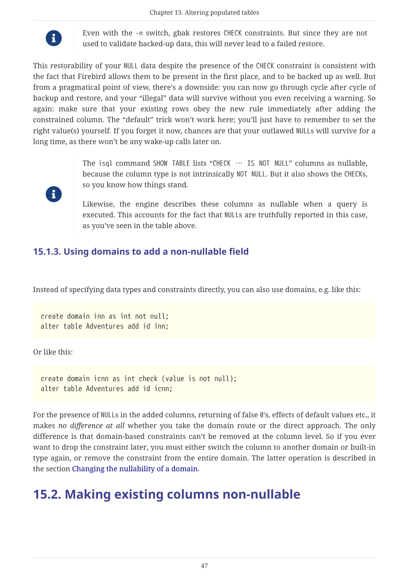

Even with the -n switch, gbak restores CHECK constraints. But since they are not used to validate backed-up data, this will never lead to a failed restore.

This restorability of your NULL data despite the presence of the CHECK constraint is consistent with the fact that Firebird allows them to be present in the first place, and to be backed up as well. But from a pragmatical point of view, there's a downside: you can now go through cycle after cycle of backup and restore, and your "illegal" data will survive without you even receiving a warning. So again: make sure that your existing rows obey the new rule immediately after adding the constrained column. The "default" trick won't work here; you'll just have to remember to set the right value(s) yourself. If you forget it now, chances are that your outlawed NULLs will survive for a long time, as there won't be any wake-up calls later on.



The isql command SHOW TABLE lists "CHECK … IS NOT NULL" columns as nullable, because the column type is not intrinsically NOT NULL. But it also shows the CHECKs, so you know how things stand.

Likewise, the engine describes these columns as nullable when a query is executed. This accounts for the fact that NULLs are truthfully reported in this case, as you've seen in the table above.

#### <span id="page-47-2"></span><span id="page-47-0"></span>**15.1.3. Using domains to add a non-nullable field**

Instead of specifying data types and constraints directly, you can also use domains, e.g. like this:

```
create domain inn as int not null;
alter table Adventures add id inn;
```
Or like this:

create domain icnn as int check (value is not null); alter table Adventures add id icnn;

For the presence of NULLs in the added columns, returning of false 0's, effects of default values etc., it makes *no difference at all* whether you take the domain route or the direct approach. The only difference is that domain-based constraints can't be removed at the column level. So if you ever want to drop the constraint later, you must either switch the column to another domain or built-in type again, or remove the constraint from the entire domain. The latter operation is described in the section [Changing the nullability of a domain.](#page-52-0)

## <span id="page-47-3"></span><span id="page-47-1"></span>**15.2. Making existing columns non-nullable**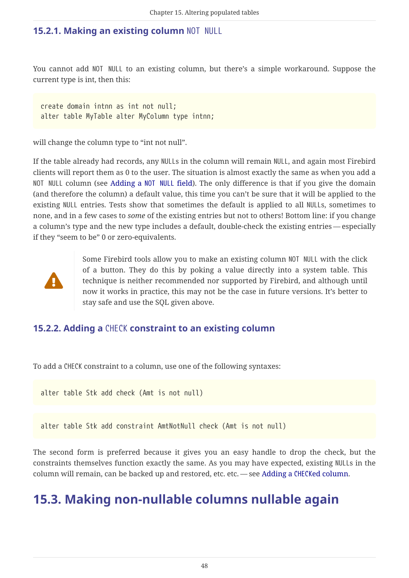#### <span id="page-48-3"></span><span id="page-48-0"></span>**15.2.1. Making an existing column** NOT NULL

You cannot add NOT NULL to an existing column, but there's a simple workaround. Suppose the current type is int, then this:

create domain intnn as int not null; alter table MyTable alter MyColumn type intnn;

will change the column type to "int not null".

If the table already had records, any NULLs in the column will remain NULL, and again most Firebird clients will report them as 0 to the user. The situation is almost exactly the same as when you add a NOT NULL column (see [Adding a](#page-44-2) [NOT NULL](#page-44-2) [field](#page-44-2)). The only difference is that if you give the domain (and therefore the column) a default value, this time you can't be sure that it will be applied to the existing NULL entries. Tests show that sometimes the default is applied to all NULLs, sometimes to none, and in a few cases to *some* of the existing entries but not to others! Bottom line: if you change a column's type and the new type includes a default, double-check the existing entries — especially if they "seem to be" 0 or zero-equivalents.



Some Firebird tools allow you to make an existing column NOT NULL with the click of a button. They do this by poking a value directly into a system table. This technique is neither recommended nor supported by Firebird, and although until now it works in practice, this may not be the case in future versions. It's better to stay safe and use the SQL given above.

#### <span id="page-48-4"></span><span id="page-48-1"></span>**15.2.2. Adding a** CHECK **constraint to an existing column**

To add a CHECK constraint to a column, use one of the following syntaxes:

alter table Stk add check (Amt is not null)

alter table Stk add constraint AmtNotNull check (Amt is not null)

The second form is preferred because it gives you an easy handle to drop the check, but the constraints themselves function exactly the same. As you may have expected, existing NULLs in the column will remain, can be backed up and restored, etc. etc. — see [Adding a](#page-46-0) [CHECK](#page-46-0)[ed column](#page-46-0).

## <span id="page-48-5"></span><span id="page-48-2"></span>**15.3. Making non-nullable columns nullable again**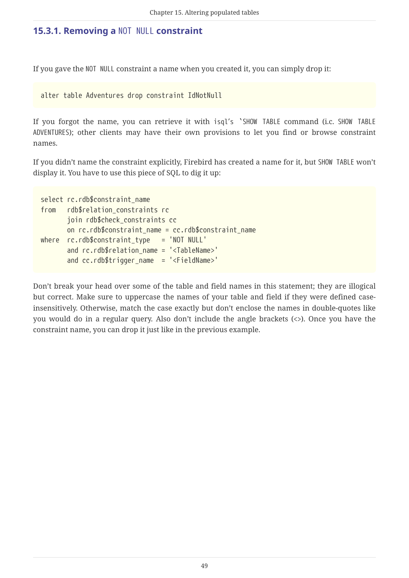#### <span id="page-49-1"></span><span id="page-49-0"></span>**15.3.1. Removing a** NOT NULL **constraint**

If you gave the NOT NULL constraint a name when you created it, you can simply drop it:

alter table Adventures drop constraint IdNotNull

If you forgot the name, you can retrieve it with isql's `SHOW TABLE command (i.c. SHOW TABLE ADVENTURES); other clients may have their own provisions to let you find or browse constraint names.

If you didn't name the constraint explicitly, Firebird has created a name for it, but SHOW TABLE won't display it. You have to use this piece of SQL to dig it up:

```
select rc.rdb$constraint_name
from rdb$relation_constraints rc
         join rdb$check_constraints cc
      on rc.rdb$constraint name = cc.rdb$constraint name
where rc.rdb sconstraint type = 'NOT NULL'
        and rc.rdb$relation_name = '<TableName>'
         and cc.rdb$trigger_name = '<FieldName>'
```
Don't break your head over some of the table and field names in this statement; they are illogical but correct. Make sure to uppercase the names of your table and field if they were defined caseinsensitively. Otherwise, match the case exactly but don't enclose the names in double-quotes like you would do in a regular query. Also don't include the angle brackets (<>). Once you have the constraint name, you can drop it just like in the previous example.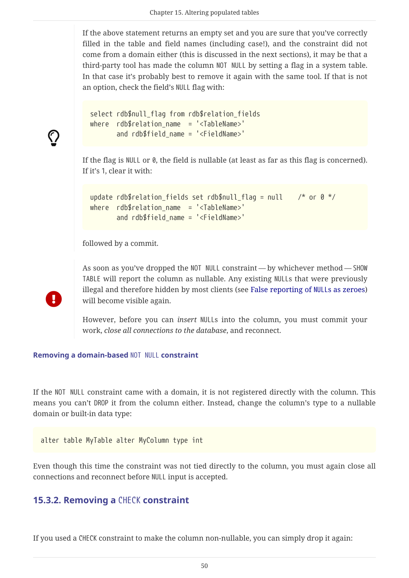If the above statement returns an empty set and you are sure that you've correctly filled in the table and field names (including case!), and the constraint did not come from a domain either (this is discussed in the next sections), it may be that a third-party tool has made the column NOT NULL by setting a flag in a system table. In that case it's probably best to remove it again with the same tool. If that is not an option, check the field's NULL flag with:

```
select rdb$null flag from rdb$relation fields
where rdb$relation name = '<TableName>'
        and rdb$field_name = '<FieldName>'
```
If the flag is NULL or 0, the field is nullable (at least as far as this flag is concerned). If it's 1, clear it with:

```
update rdb$relation_fields set rdb$null_flag = null \frac{r}{r} or 0 \frac{r}{r}where rdb$relation name = '<TableName>'
         and rdb$field_name = '<FieldName>'
```
followed by a commit.

 $\bigcirc$ 

Ţ.

As soon as you've dropped the NOT NULL constraint — by whichever method — SHOW TABLE will report the column as nullable. Any existing NULLs that were previously illegal and therefore hidden by most clients (see [False reporting of](#page-45-0) [NULL](#page-45-0)[s as zeroes](#page-45-0)) will become visible again.

However, before you can *insert* NULLs into the column, you must commit your work, *close all connections to the database*, and reconnect.

#### <span id="page-50-2"></span>**Removing a domain-based** NOT NULL **constraint**

If the NOT NULL constraint came with a domain, it is not registered directly with the column. This means you can't DROP it from the column either. Instead, change the column's type to a nullable domain or built-in data type:

alter table MyTable alter MyColumn type int

Even though this time the constraint was not tied directly to the column, you must again close all connections and reconnect before NULL input is accepted.

#### <span id="page-50-1"></span><span id="page-50-0"></span>**15.3.2. Removing a** CHECK **constraint**

If you used a CHECK constraint to make the column non-nullable, you can simply drop it again: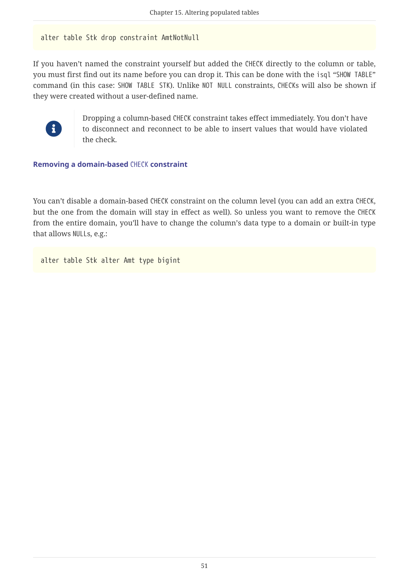#### alter table Stk drop constraint AmtNotNull

If you haven't named the constraint yourself but added the CHECK directly to the column or table, you must first find out its name before you can drop it. This can be done with the isql "SHOW TABLE" command (in this case: SHOW TABLE STK). Unlike NOT NULL constraints, CHECKs will also be shown if they were created without a user-defined name.



Dropping a column-based CHECK constraint takes effect immediately. You don't have to disconnect and reconnect to be able to insert values that would have violated the check.

#### <span id="page-51-0"></span>**Removing a domain-based** CHECK **constraint**

You can't disable a domain-based CHECK constraint on the column level (you can add an extra CHECK, but the one from the domain will stay in effect as well). So unless you want to remove the CHECK from the entire domain, you'll have to change the column's data type to a domain or built-in type that allows NULLs, e.g.:

alter table Stk alter Amt type bigint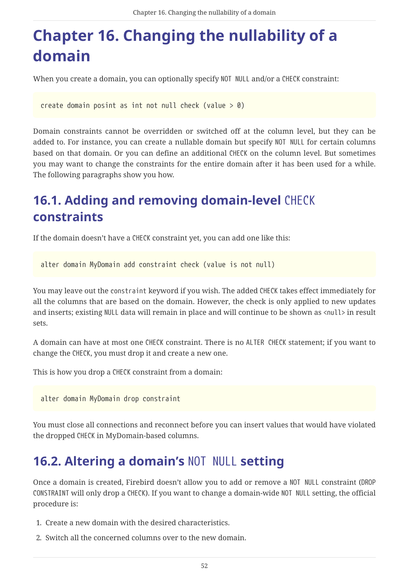# <span id="page-52-0"></span>**Chapter 16. Changing the nullability of a domain**

When you create a domain, you can optionally specify NOT NULL and/or a CHECK constraint:

create domain posint as int not null check (value  $> 0$ )

Domain constraints cannot be overridden or switched off at the column level, but they can be added to. For instance, you can create a nullable domain but specify NOT NULL for certain columns based on that domain. Or you can define an additional CHECK on the column level. But sometimes you may want to change the constraints for the entire domain after it has been used for a while. The following paragraphs show you how.

## <span id="page-52-1"></span>**16.1. Adding and removing domain-level** CHECK **constraints**

If the domain doesn't have a CHECK constraint yet, you can add one like this:

alter domain MyDomain add constraint check (value is not null)

You may leave out the constraint keyword if you wish. The added CHECK takes effect immediately for all the columns that are based on the domain. However, the check is only applied to new updates and inserts; existing NULL data will remain in place and will continue to be shown as <null> in result sets.

A domain can have at most one CHECK constraint. There is no ALTER CHECK statement; if you want to change the CHECK, you must drop it and create a new one.

This is how you drop a CHECK constraint from a domain:

alter domain MyDomain drop constraint

You must close all connections and reconnect before you can insert values that would have violated the dropped CHECK in MyDomain-based columns.

## <span id="page-52-2"></span>**16.2. Altering a domain's** NOT NULL **setting**

Once a domain is created, Firebird doesn't allow you to add or remove a NOT NULL constraint (DROP CONSTRAINT will only drop a CHECK). If you want to change a domain-wide NOT NULL setting, the official procedure is:

- 1. Create a new domain with the desired characteristics.
- 2. Switch all the concerned columns over to the new domain.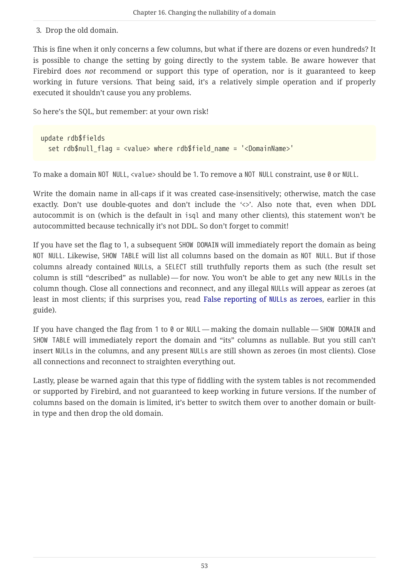3. Drop the old domain.

This is fine when it only concerns a few columns, but what if there are dozens or even hundreds? It is possible to change the setting by going directly to the system table. Be aware however that Firebird does *not* recommend or support this type of operation, nor is it guaranteed to keep working in future versions. That being said, it's a relatively simple operation and if properly executed it shouldn't cause you any problems.

So here's the SQL, but remember: at your own risk!

```
update rdb$fields
   set rdb$null_flag = <value> where rdb$field_name = '<DomainName>'
```
To make a domain NOT NULL, <value> should be 1. To remove a NOT NULL constraint, use 0 or NULL.

Write the domain name in all-caps if it was created case-insensitively; otherwise, match the case exactly. Don't use double-quotes and don't include the '<>'. Also note that, even when DDL autocommit is on (which is the default in isql and many other clients), this statement won't be autocommitted because technically it's not DDL. So don't forget to commit!

If you have set the flag to 1, a subsequent SHOW DOMAIN will immediately report the domain as being NOT NULL. Likewise, SHOW TABLE will list all columns based on the domain as NOT NULL. But if those columns already contained NULLs, a SELECT still truthfully reports them as such (the result set column is still "described" as nullable) — for now. You won't be able to get any new NULLs in the column though. Close all connections and reconnect, and any illegal NULLs will appear as zeroes (at least in most clients; if this surprises you, read [False reporting of](#page-45-0) [NULL](#page-45-0)[s as zeroes](#page-45-0), earlier in this guide).

If you have changed the flag from 1 to 0 or NULL — making the domain nullable — SHOW DOMAIN and SHOW TABLE will immediately report the domain and "its" columns as nullable. But you still can't insert NULLs in the columns, and any present NULLs are still shown as zeroes (in most clients). Close all connections and reconnect to straighten everything out.

Lastly, please be warned again that this type of fiddling with the system tables is not recommended or supported by Firebird, and not guaranteed to keep working in future versions. If the number of columns based on the domain is limited, it's better to switch them over to another domain or builtin type and then drop the old domain.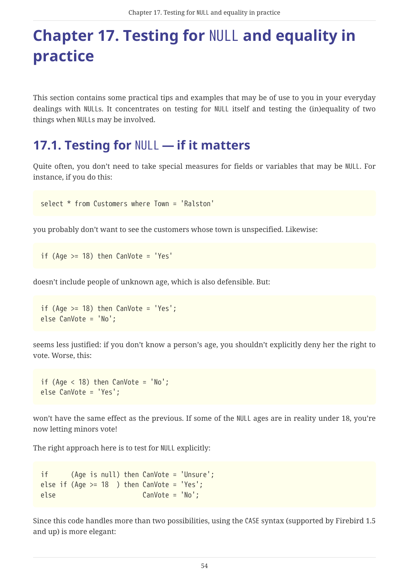# <span id="page-54-0"></span>**Chapter 17. Testing for** NULL **and equality in practice**

<span id="page-54-2"></span>This section contains some practical tips and examples that may be of use to you in your everyday dealings with NULLs. It concentrates on testing for NULL itself and testing the (in)equality of two things when NULLs may be involved.

## <span id="page-54-1"></span>**17.1. Testing for** NULL **— if it matters**

Quite often, you don't need to take special measures for fields or variables that may be NULL. For instance, if you do this:

select \* from Customers where Town = 'Ralston'

you probably don't want to see the customers whose town is unspecified. Likewise:

if (Age  $>= 18$ ) then CanVote = 'Yes'

doesn't include people of unknown age, which is also defensible. But:

```
if (Age >= 18) then CanVote = 'Yes';
else CanVote = 'No';
```
seems less justified: if you don't know a person's age, you shouldn't explicitly deny her the right to vote. Worse, this:

```
if (Age < 18) then CanVote = 'No';
else CanVote = 'Yes';
```
won't have the same effect as the previous. If some of the NULL ages are in reality under 18, you're now letting minors vote!

The right approach here is to test for NULL explicitly:

```
if (Age is null) then CanVote = 'Unsure';
else if (Aqe >= 18) then CanVote = 'Yes';else CanVote = 'No';
```
Since this code handles more than two possibilities, using the CASE syntax (supported by Firebird 1.5 and up) is more elegant: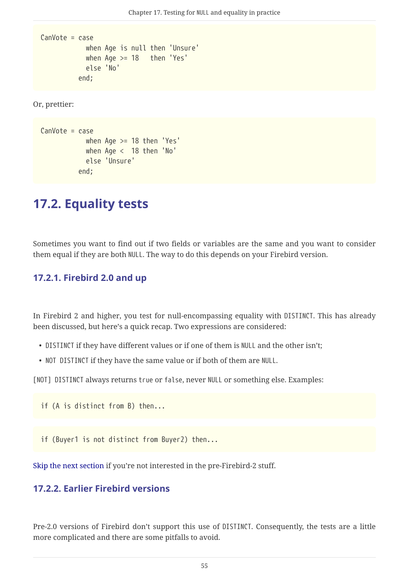```
CanVote = case
               when Age is null then 'Unsure'
             when Age >= 18 then 'Yes'
               else 'No'
            end;
```
Or, prettier:

```
CanVote = case
               when Age >= 18 then 'Yes'
               when Age < 18 then 'No'
               else 'Unsure'
             end;
```
### <span id="page-55-0"></span>**17.2. Equality tests**

<span id="page-55-4"></span>Sometimes you want to find out if two fields or variables are the same and you want to consider them equal if they are both NULL. The way to do this depends on your Firebird version.

#### <span id="page-55-3"></span><span id="page-55-1"></span>**17.2.1. Firebird 2.0 and up**

In Firebird 2 and higher, you test for null-encompassing equality with DISTINCT. This has already been discussed, but here's a quick recap. Two expressions are considered:

- DISTINCT if they have different values or if one of them is NULL and the other isn't;
- NOT DISTINCT if they have the same value or if both of them are NULL.

[NOT] DISTINCT always returns true or false, never NULL or something else. Examples:

if (A is distinct from B) then...

if (Buyer1 is not distinct from Buyer2) then...

[Skip the next section](#page-57-0) if you're not interested in the pre-Firebird-2 stuff.

#### <span id="page-55-5"></span><span id="page-55-2"></span>**17.2.2. Earlier Firebird versions**

Pre-2.0 versions of Firebird don't support this use of DISTINCT. Consequently, the tests are a little more complicated and there are some pitfalls to avoid.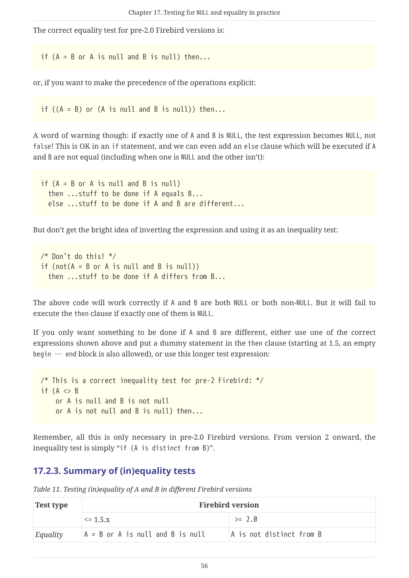The correct equality test for pre-2.0 Firebird versions is:

if  $(A = B \text{ or } A \text{ is null and } B \text{ is null})$  then...

or, if you want to make the precedence of the operations explicit:

if  $((A = B)$  or  $(A \text{ is null and } B \text{ is null})$  then...

A word of warning though: if exactly one of A and B is NULL, the test expression becomes NULL, not false! This is OK in an if statement, and we can even add an else clause which will be executed if A and B are not equal (including when one is NULL and the other isn't):

if  $(A = B \text{ or } A \text{ is null and } B \text{ is null})$  then ...stuff to be done if A equals B... else ...stuff to be done if A and B are different...

But don't get the bright idea of inverting the expression and using it as an inequality test:

```
/* Don't do this! */
if (not(A = B \text{ or } A \text{ is null and } B \text{ is null}))
    then ...stuff to be done if A differs from B...
```
The above code will work correctly if A and B are both NULL or both non-NULL. But it will fail to execute the then clause if exactly one of them is NULL.

If you only want something to be done if A and B are different, either use one of the correct expressions shown above and put a dummy statement in the then clause (starting at 1.5, an empty begin  $\cdots$  end block is also allowed), or use this longer test expression:

```
/* This is a correct inequality test for pre-2 Firebird: */
if (A \leq B)  or A is null and B is not null
      or A is not null and B is null) then...
```
Remember, all this is only necessary in pre-2.0 Firebird versions. From version 2 onward, the inequality test is simply "if (A is distinct from B)".

#### <span id="page-56-1"></span><span id="page-56-0"></span>**17.2.3. Summary of (in)equality tests**

| <b>Test type</b> | <b>Firebird version</b>            |                          |  |
|------------------|------------------------------------|--------------------------|--|
|                  | $\leq$ 1.5.x                       | $>= 2.0$                 |  |
| Equality         | $A = B$ or A is null and B is null | A is not distinct from B |  |

*Table 11. Testing (in)equality of A and B in different Firebird versions*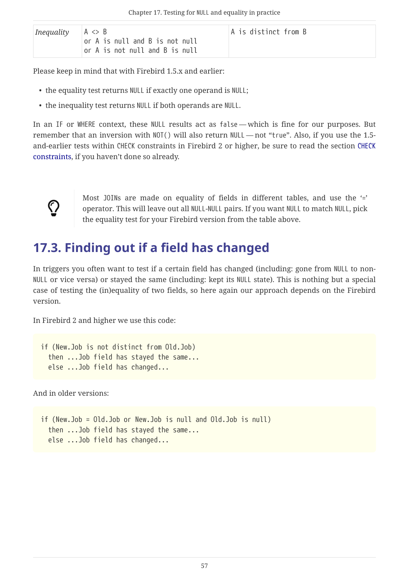| Inequality | $A \Leftrightarrow B$<br>or A is null and B is not null<br>or A is not null and B is null | A is distinct from B |  |
|------------|-------------------------------------------------------------------------------------------|----------------------|--|
|------------|-------------------------------------------------------------------------------------------|----------------------|--|

Please keep in mind that with Firebird 1.5.x and earlier:

- the equality test returns NULL if exactly one operand is NULL;
- the inequality test returns NULL if both operands are NULL.

In an IF or WHERE context, these NULL results act as false — which is fine for our purposes. But remember that an inversion with NOT() will also return NULL — not "true". Also, if you use the 1.5 and-earlier tests within CHECK constraints in Firebird 2 or higher, be sure to read the section [CHECK](#page-35-0) [constraints,](#page-35-0) if you haven't done so already.

<span id="page-57-1"></span>

Most J0INs are made on equality of fields in different tables, and use the '=' operator. This will leave out all NULL-NULL pairs. If you want NULL to match NULL, pick the equality test for your Firebird version from the table above.

## <span id="page-57-0"></span>**17.3. Finding out if a field has changed**

In triggers you often want to test if a certain field has changed (including: gone from NULL to non-NULL or vice versa) or stayed the same (including: kept its NULL state). This is nothing but a special case of testing the (in)equality of two fields, so here again our approach depends on the Firebird version.

In Firebird 2 and higher we use this code:

```
if (New.Job is not distinct from Old.Job)
    then ...Job field has stayed the same...
    else ...Job field has changed...
```
And in older versions:

```
if (New.Job = Old.Job or New.Job is null and Old.Job is null)
   then ...Job field has stayed the same...
   else ...Job field has changed...
```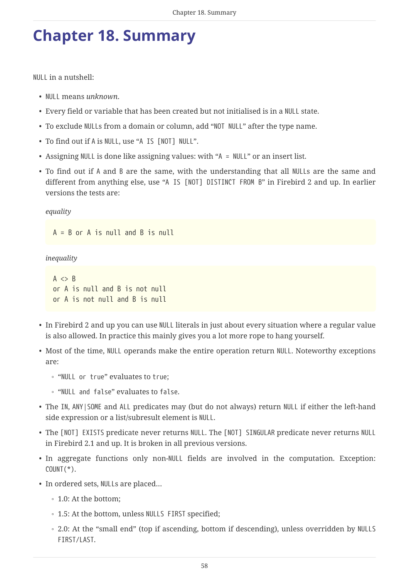# <span id="page-58-0"></span>**Chapter 18. Summary**

<span id="page-58-1"></span>NULL in a nutshell:

- NULL means *unknown*.
- Every field or variable that has been created but not initialised is in a NULL state.
- To exclude NULLs from a domain or column, add "NOT NULL" after the type name.
- To find out if A is NULL, use "A IS [NOT] NULL".
- Assigning NULL is done like assigning values: with "A = NULL" or an insert list.
- To find out if A and B are the same, with the understanding that all NULLs are the same and different from anything else, use "A IS [NOT] DISTINCT FROM B" in Firebird 2 and up. In earlier versions the tests are:

*equality*

A = B or A is null and B is null

*inequality*

```
A \Leftrightarrow Bor A is null and B is not null
or A is not null and B is null
```
- In Firebird 2 and up you can use NULL literals in just about every situation where a regular value is also allowed. In practice this mainly gives you a lot more rope to hang yourself.
- Most of the time, NULL operands make the entire operation return NULL. Noteworthy exceptions are:
	- "NULL or true" evaluates to true;
	- "NULL and false" evaluates to false.
- The IN, ANY|SOME and ALL predicates may (but do not always) return NULL if either the left-hand side expression or a list/subresult element is NULL.
- The [NOT] EXISTS predicate never returns NULL. The [NOT] SINGULAR predicate never returns NULL in Firebird 2.1 and up. It is broken in all previous versions.
- In aggregate functions only non-NULL fields are involved in the computation. Exception:  $COUNT(*)$ .
- In ordered sets, NULLs are placed…
	- 1.0: At the bottom;
	- 1.5: At the bottom, unless NULLS FIRST specified;
	- 2.0: At the "small end" (top if ascending, bottom if descending), unless overridden by NULLS FIRST/LAST.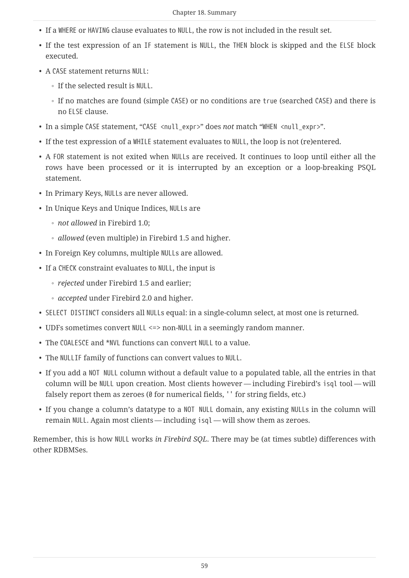- If a WHERE or HAVING clause evaluates to NULL, the row is not included in the result set.
- If the test expression of an IF statement is NULL, the THEN block is skipped and the ELSE block executed.
- A CASE statement returns NULL:
	- If the selected result is NULL.
	- If no matches are found (simple CASE) or no conditions are true (searched CASE) and there is no ELSE clause.
- In a simple CASE statement, "CASE <null\_expr>" does *not* match "WHEN <null\_expr>".
- If the test expression of a WHILE statement evaluates to NULL, the loop is not (re)entered.
- A FOR statement is not exited when NULLs are received. It continues to loop until either all the rows have been processed or it is interrupted by an exception or a loop-breaking PSQL statement.
- In Primary Keys, NULLs are never allowed.
- In Unique Keys and Unique Indices, NULLs are
	- *not allowed* in Firebird 1.0;
	- *allowed* (even multiple) in Firebird 1.5 and higher.
- In Foreign Key columns, multiple NULLs are allowed.
- If a CHECK constraint evaluates to NULL, the input is
	- *rejected* under Firebird 1.5 and earlier;
	- *accepted* under Firebird 2.0 and higher.
- SELECT DISTINCT considers all NULLs equal: in a single-column select, at most one is returned.
- UDFs sometimes convert NULL <=> non-NULL in a seemingly random manner.
- The COALESCE and \*NVL functions can convert NULL to a value.
- The NULLIF family of functions can convert values to NULL.
- If you add a NOT NULL column without a default value to a populated table, all the entries in that column will be NULL upon creation. Most clients however — including Firebird's isql tool — will falsely report them as zeroes ( $\emptyset$  for numerical fields, '' for string fields, etc.)
- If you change a column's datatype to a NOT NULL domain, any existing NULLs in the column will remain NULL. Again most clients — including isql — will show them as zeroes.

Remember, this is how NULL works *in Firebird SQL*. There may be (at times subtle) differences with other RDBMSes.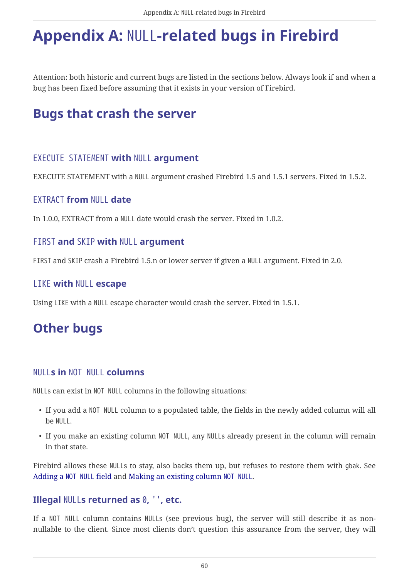# <span id="page-60-0"></span>**Appendix A:** NULL**-related bugs in Firebird**

<span id="page-60-9"></span>Attention: both historic and current bugs are listed in the sections below. Always look if and when a bug has been fixed before assuming that it exists in your version of Firebird.

## <span id="page-60-11"></span><span id="page-60-1"></span>**Bugs that crash the server**

#### <span id="page-60-2"></span>EXECUTE STATEMENT **with** NULL **argument**

EXECUTE STATEMENT with a NULL argument crashed Firebird 1.5 and 1.5.1 servers. Fixed in 1.5.2.

#### <span id="page-60-3"></span>EXTRACT **from** NULL **date**

In 1.0.0, EXTRACT from a NULL date would crash the server. Fixed in 1.0.2.

#### <span id="page-60-4"></span>FIRST **and** SKIP **with** NULL **argument**

FIRST and SKIP crash a Firebird 1.5.n or lower server if given a NULL argument. Fixed in 2.0.

#### <span id="page-60-5"></span>LIKE **with** NULL **escape**

Using LIKE with a NULL escape character would crash the server. Fixed in 1.5.1.

## <span id="page-60-10"></span><span id="page-60-6"></span>**Other bugs**

#### <span id="page-60-7"></span>NULL**s in** NOT NULL **columns**

NULLs can exist in NOT NULL columns in the following situations:

- If you add a NOT NULL column to a populated table, the fields in the newly added column will all be NULL.
- If you make an existing column NOT NULL, any NULLs already present in the column will remain in that state.

Firebird allows these NULLs to stay, also backs them up, but refuses to restore them with gbak. See [Adding a](#page-44-2) [NOT NULL](#page-44-2) [field](#page-44-2) and [Making an existing column](#page-48-0) [NOT NULL](#page-48-0).

#### <span id="page-60-8"></span>**Illegal** NULL**s returned as** 0**,** ''**, etc.**

If a NOT NULL column contains NULLs (see previous bug), the server will still describe it as nonnullable to the client. Since most clients don't question this assurance from the server, they will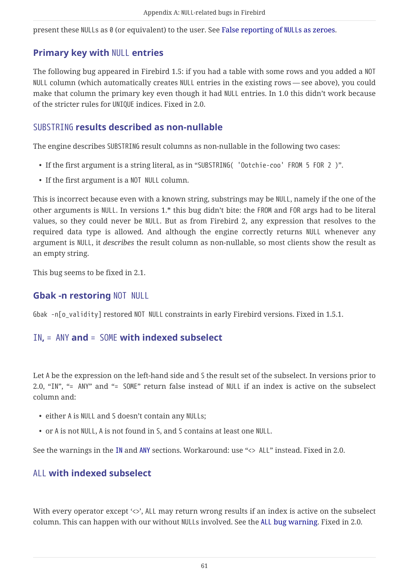present these NULLs as 0 (or equivalent) to the user. See [False reporting of](#page-45-0) [NULL](#page-45-0)[s as zeroes.](#page-45-0)

#### <span id="page-61-0"></span>**Primary key with** NULL **entries**

The following bug appeared in Firebird 1.5: if you had a table with some rows and you added a NOT NULL column (which automatically creates NULL entries in the existing rows — see above), you could make that column the primary key even though it had NULL entries. In 1.0 this didn't work because of the stricter rules for UNIQUE indices. Fixed in 2.0.

#### <span id="page-61-1"></span>SUBSTRING **results described as non-nullable**

The engine describes SUBSTRING result columns as non-nullable in the following two cases:

- If the first argument is a string literal, as in "SUBSTRING( 'Ootchie-coo' FROM 5 FOR 2 )".
- If the first argument is a NOT NULL column.

This is incorrect because even with a known string, substrings may be NULL, namely if the one of the other arguments is NULL. In versions 1.\* this bug didn't bite: the FROM and FOR args had to be literal values, so they could never be NULL. But as from Firebird 2, any expression that resolves to the required data type is allowed. And although the engine correctly returns NULL whenever any argument is NULL, it *describes* the result column as non-nullable, so most clients show the result as an empty string.

This bug seems to be fixed in 2.1.

#### <span id="page-61-2"></span>**Gbak -n restoring** NOT NULL

Gbak -n[o\_validity] restored NOT NULL constraints in early Firebird versions. Fixed in 1.5.1.

#### <span id="page-61-6"></span><span id="page-61-3"></span>IN**,** = ANY **and** = SOME **with indexed subselect**

Let A be the expression on the left-hand side and S the result set of the subselect. In versions prior to 2.0, "IN", "= ANY" and "= SOME" return false instead of NULL if an index is active on the subselect column and:

- either A is NULL and S doesn't contain any NULLs;
- or A is not NULL, A is not found in S, and S contains at least one NULL.

See the warnings in the [IN](#page-16-1) and [ANY](#page-19-0) sections. Workaround: use "<> ALL" instead. Fixed in 2.0.

#### <span id="page-61-5"></span><span id="page-61-4"></span>ALL **with indexed subselect**

With every operator except '<>', ALL may return wrong results if an index is active on the subselect column. This can happen with our without NULLs involved. See the [ALL](#page-19-1) [bug warning](#page-19-1). Fixed in 2.0.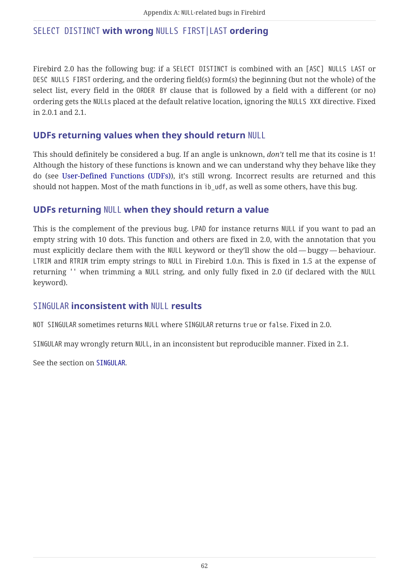#### <span id="page-62-4"></span><span id="page-62-0"></span>SELECT DISTINCT **with wrong** NULLS FIRST|LAST **ordering**

Firebird 2.0 has the following bug: if a SELECT DISTINCT is combined with an [ASC] NULLS LAST or DESC NULLS FIRST ordering, and the ordering field(s) form(s) the beginning (but not the whole) of the select list, every field in the ORDER BY clause that is followed by a field with a different (or no) ordering gets the NULLs placed at the default relative location, ignoring the NULLS XXX directive. Fixed in 2.0.1 and 2.1.

#### <span id="page-62-1"></span>**UDFs returning values when they should return** NULL

This should definitely be considered a bug. If an angle is unknown, *don't* tell me that its cosine is 1! Although the history of these functions is known and we can understand why they behave like they do (see [User-Defined Functions \(UDFs\)\)](#page-38-0), it's still wrong. Incorrect results are returned and this should not happen. Most of the math functions in ib udf, as well as some others, have this bug.

#### <span id="page-62-2"></span>**UDFs returning** NULL **when they should return a value**

This is the complement of the previous bug. LPAD for instance returns NULL if you want to pad an empty string with 10 dots. This function and others are fixed in 2.0, with the annotation that you must explicitly declare them with the NULL keyword or they'll show the old — buggy — behaviour. LTRIM and RTRIM trim empty strings to NULL in Firebird 1.0.n. This is fixed in 1.5 at the expense of returning '' when trimming a NULL string, and only fully fixed in 2.0 (if declared with the NULL keyword).

#### <span id="page-62-3"></span>SINGULAR **inconsistent with** NULL **results**

NOT SINGULAR sometimes returns NULL where SINGULAR returns true or false. Fixed in 2.0.

SINGULAR may wrongly return NULL, in an inconsistent but reproducible manner. Fixed in 2.1.

See the section on [SINGULAR](#page-21-0).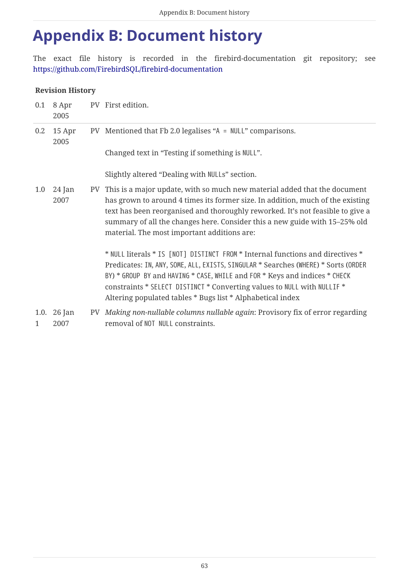# <span id="page-63-0"></span>**Appendix B: Document history**

The exact file history is recorded in the firebird-documentation git repository; see <https://github.com/FirebirdSQL/firebird-documentation>

#### **Revision History**

| 0.1     | 8 Apr<br>2005       | PV First edition.                                                                                                                                                                                                                                                                                                                                                                           |
|---------|---------------------|---------------------------------------------------------------------------------------------------------------------------------------------------------------------------------------------------------------------------------------------------------------------------------------------------------------------------------------------------------------------------------------------|
| $0.2\,$ | 15 Apr<br>2005      | PV Mentioned that Fb 2.0 legalises "A = NULL" comparisons.                                                                                                                                                                                                                                                                                                                                  |
|         |                     | Changed text in "Testing if something is NULL".                                                                                                                                                                                                                                                                                                                                             |
|         |                     | Slightly altered "Dealing with NULLs" section.                                                                                                                                                                                                                                                                                                                                              |
| 1.0     | 24 Jan<br>2007      | PV This is a major update, with so much new material added that the document<br>has grown to around 4 times its former size. In addition, much of the existing<br>text has been reorganised and thoroughly reworked. It's not feasible to give a<br>summary of all the changes here. Consider this a new guide with 15-25% old<br>material. The most important additions are:               |
|         |                     | * NULL literals * IS [NOT] DISTINCT FROM * Internal functions and directives *<br>Predicates: IN, ANY, SOME, ALL, EXISTS, SINGULAR * Searches (WHERE) * Sorts (ORDER<br>BY) * GROUP BY and HAVING * CASE, WHILE and FOR * Keys and indices * CHECK<br>constraints * SELECT DISTINCT * Converting values to NULL with NULLIF *<br>Altering populated tables * Bugs list * Alphabetical index |
| 1       | 1.0. 26 Jan<br>2007 | PV Making non-nullable columns nullable again: Provisory fix of error regarding<br>removal of NOT NULL constraints.                                                                                                                                                                                                                                                                         |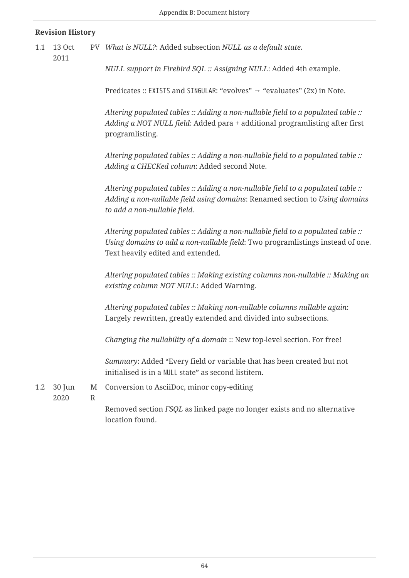#### **Revision History**

- 1.1 13 Oct PV *What is NULL?*: Added subsection *NULL as a default state*.
- 2011

*NULL support in Firebird SQL :: Assigning NULL*: Added 4th example.

Predicates :: EXISTS and SINGULAR: "evolves"  $\rightarrow$  "evaluates" (2x) in Note.

*Altering populated tables :: Adding a non-nullable field to a populated table :: Adding a NOT NULL field*: Added para + additional programlisting after first programlisting.

*Altering populated tables :: Adding a non-nullable field to a populated table :: Adding a CHECKed column*: Added second Note.

*Altering populated tables :: Adding a non-nullable field to a populated table :: Adding a non-nullable field using domains*: Renamed section to *Using domains to add a non-nullable field*.

*Altering populated tables :: Adding a non-nullable field to a populated table :: Using domains to add a non-nullable field*: Two programlistings instead of one. Text heavily edited and extended.

*Altering populated tables :: Making existing columns non-nullable :: Making an existing column NOT NULL*: Added Warning.

*Altering populated tables :: Making non-nullable columns nullable again*: Largely rewritten, greatly extended and divided into subsections.

*Changing the nullability of a domain* :: New top-level section. For free!

*Summary*: Added "Every field or variable that has been created but not initialised is in a NULL state" as second listitem.

1.2 30 Jun M Conversion to AsciiDoc, minor copy-editing

2020

R

Removed section *FSQL* as linked page no longer exists and no alternative location found.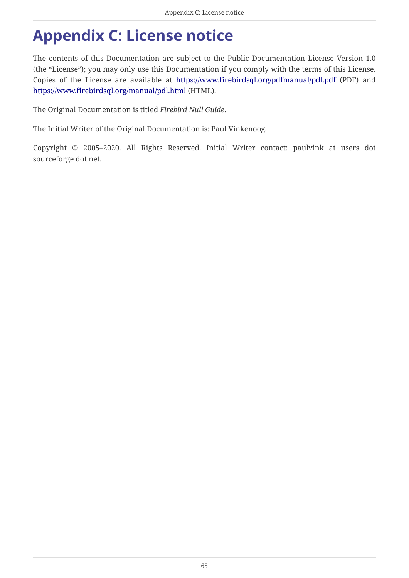# <span id="page-65-0"></span>**Appendix C: License notice**

The contents of this Documentation are subject to the Public Documentation License Version 1.0 (the "License"); you may only use this Documentation if you comply with the terms of this License. Copies of the License are available at <https://www.firebirdsql.org/pdfmanual/pdl.pdf> (PDF) and <https://www.firebirdsql.org/manual/pdl.html>(HTML).

The Original Documentation is titled *Firebird Null Guide*.

The Initial Writer of the Original Documentation is: Paul Vinkenoog.

Copyright © 2005–2020. All Rights Reserved. Initial Writer contact: paulvink at users dot sourceforge dot net.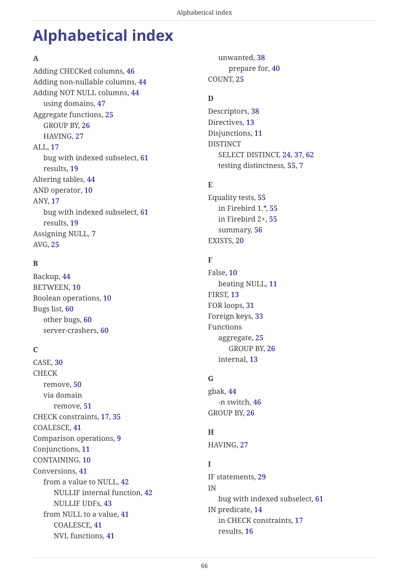# <span id="page-66-0"></span>**Alphabetical index**

#### **A**

Adding CHECKed columns, [46](#page-46-1) Adding non-nullable columns, [44](#page-44-3) Adding NOT NULL columns, [44](#page-44-4) using domains, [47](#page-47-2) Aggregate functions, [25](#page-25-1) GROUP BY, [26](#page-26-4) HAVING, [27](#page-27-2) ALL, [17](#page-17-2) bug with indexed subselect, [61](#page-61-5) results, [19](#page-19-2) Altering tables, [44](#page-44-5) AND operator, [10](#page-10-1) ANY, [17](#page-17-2) bug with indexed subselect, [61](#page-61-6) results, [19](#page-19-3) Assigning NULL, [7](#page-7-2) AVG, [25](#page-25-1)

#### **B**

Backup, [44](#page-44-6) BETWEEN, [10](#page-10-2) Boolean operations, [10](#page-10-1) Bugs list, [60](#page-60-9) other bugs, [60](#page-60-10) server-crashers, [60](#page-60-11)

#### **C**

CASE, [30](#page-30-1) CHECK remove, [50](#page-50-1) via domain remove, [51](#page-51-0) CHECK constraints, [17,](#page-17-3) [35](#page-35-1) COALESCE, [41](#page-41-4) Comparison operations, [9](#page-9-2) Conjunctions, [11](#page-11-1) CONTAINING, [10](#page-10-2) Conversions, [41](#page-41-5) from a value to NULL, [42](#page-42-2) NULLIF internal function, [42](#page-42-3) NULLIF UDFs, [43](#page-43-1) from NULL to a value, [41](#page-41-6) COALESCE, [41](#page-41-4) NVL functions, [41](#page-41-7)

unwanted, [38](#page-38-3) prepare for, [40](#page-40-3) COUNT, [25](#page-25-1)

#### **D**

Descriptors, [38](#page-38-4) Directives, [13](#page-13-3) Disjunctions, [11](#page-11-2) DISTINCT SELECT DISTINCT, [24](#page-24-1), [37](#page-37-1), [62](#page-62-4) testing distinctness, [55](#page-55-3), [7](#page-1-0)

#### **E**

Equality tests, [55](#page-55-4) in Firebird 1.\*, [55](#page-55-5) in Firebird 2+, [55](#page-55-3) summary, [56](#page-56-1) EXISTS, [20](#page-20-2)

#### **F**

False, [10](#page-10-1) beating NULL, [11](#page-11-3) FIRST, [13](#page-13-3) FOR loops, [31](#page-31-2) Foreign keys, [33](#page-33-6) Functions aggregate, [25](#page-25-1) GROUP BY, [26](#page-26-4) internal, [13](#page-13-4)

#### **G**

gbak, [44](#page-44-6) -n switch, [46](#page-46-2) GROUP BY, [26](#page-26-4)

#### **H**

HAVING, [27](#page-27-2)

#### **I**

IF statements, [29](#page-29-2) IN bug with indexed subselect, [61](#page-61-6) IN predicate, [14](#page-14-3) in CHECK constraints, [17](#page-1-1) results, [16](#page-16-2)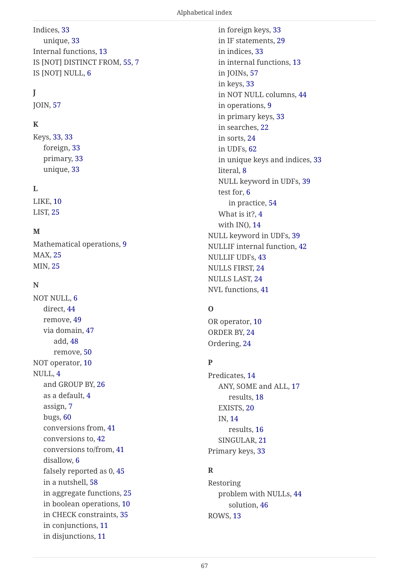#### Indices, [33](#page-33-7) unique, [33](#page-33-8) Internal functions, [13](#page-13-4) IS [NOT] DISTINCT FROM, [55](#page-55-3), [7](#page-7-3) IS [NOT] NULL, [6](#page-6-3)

#### **J**

JOIN, [57](#page-57-1)

#### **K**

Keys, [33,](#page-33-7) [33](#page-33-6) foreign, [33](#page-33-6) primary, [33](#page-33-9) unique, [33](#page-33-8)

#### **L**

LIKE, [10](#page-10-2) LIST, [25](#page-25-1)

#### **M**

Mathematical operations, [9](#page-9-2) MAX, [25](#page-25-1) MIN, [25](#page-25-1)

#### **N**

NOT NULL, [6](#page-6-4) direct, [44](#page-44-4) remove, [49](#page-49-1) via domain, [47](#page-47-2) add, [48](#page-48-3) remove, [50](#page-50-2) NOT operator, [10](#page-10-1) NULL, [4](#page-4-2) and GROUP BY, [26](#page-26-4) as a default, [4](#page-4-3) assign, [7](#page-7-2) bugs, [60](#page-60-9) conversions from, [41](#page-41-6) conversions to, [42](#page-42-2) conversions to/from, [41](#page-41-5) disallow, [6](#page-6-4) falsely reported as 0, [45](#page-45-1) in a nutshell, [58](#page-58-1) in aggregate functions, [25](#page-25-1) in boolean operations, [10](#page-10-1) in CHECK constraints, [35](#page-35-1) in conjunctions, [11](#page-11-1) in disjunctions, [11](#page-11-2)

in foreign keys, [33](#page-33-6) in IF statements, [29](#page-29-2) in indices, [33](#page-33-7) in internal functions, [13](#page-13-4) in JOINs, [57](#page-57-1) in keys, [33](#page-33-7) in NOT NULL columns, [44](#page-44-6) in operations, [9](#page-9-3) in primary keys, [33](#page-33-9) in searches, [22](#page-22-1) in sorts, [24](#page-24-2) in UDFs, [62](#page-40-4) in unique keys and indices, [33](#page-33-8) literal, [8](#page-8-3) NULL keyword in UDFs, [39](#page-39-1) test for, [6](#page-6-3) in practice, [54](#page-54-2) What is it?, [4](#page-4-2) with  $IN($ ),  $14$ NULL keyword in UDFs, [39](#page-39-1) NULLIF internal function, [42](#page-42-3) NULLIF UDFs, [43](#page-43-1) NULLS FIRST, [24](#page-24-2) NULLS LAST, [24](#page-24-2) NVL functions, [41](#page-41-7)

#### **O**

OR operator, [10](#page-10-1) ORDER BY, [24](#page-24-2) Ordering, [24](#page-24-2)

#### **P**

Predicates, [14](#page-14-4) ANY, SOME and ALL, [17](#page-17-2) results, [18](#page-18-1) EXISTS, [20](#page-20-2) IN, [14](#page-14-3) results, [16](#page-1-2) SINGULAR, [21](#page-21-1) Primary keys, [33](#page-33-9)

#### **R**

Restoring problem with NULLs, [44](#page-44-6) solution, [46](#page-46-2) ROWS, [13](#page-13-3)